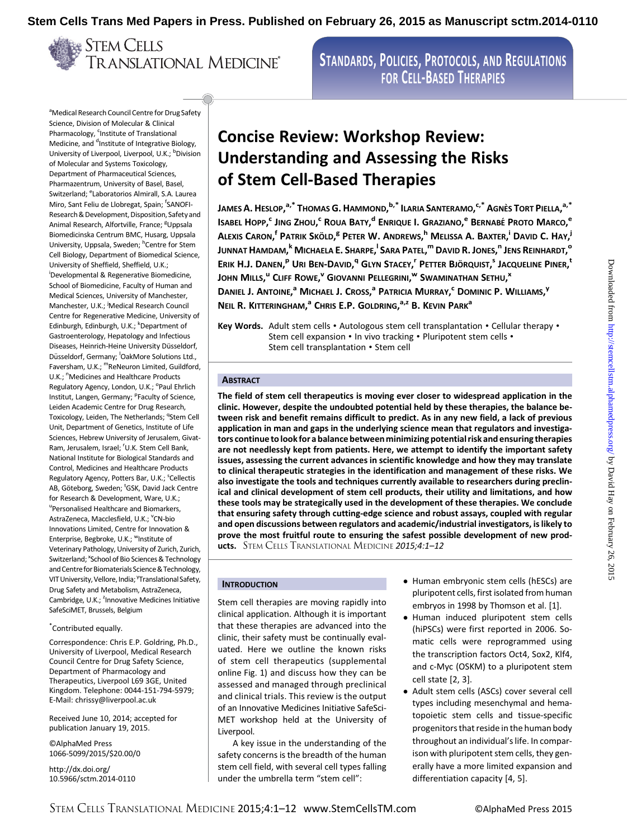

STANDARDS, POLICIES, PROTOCOLS, AND REGULATIONS FOR CELL-BASED THERAPIES

<sup>a</sup>Medical Research Council Centre for Drug Safety Science, Division of Molecular & Clinical Pharmacology, <sup>c</sup>Institute of Translational Medicine, and <sup>d</sup>Institute of Integrative Biology, University of Liverpool, Liverpool, U.K.; <sup>b</sup>Division of Molecular and Systems Toxicology, Department of Pharmaceutical Sciences, Pharmazentrum, University of Basel, Basel, Switzerland; <sup>e</sup>Laboratorios Almirall, S.A. Laurea Miro, Sant Feliu de Llobregat, Spain; <sup>f</sup>SANOFI-Research& Development, Disposition, Safetyand Animal Research, Alfortville, France; <sup>g</sup>Uppsala Biomedicinska Centrum BMC, Husarg, Uppsala University, Uppsala, Sweden; <sup>h</sup>Centre for Stem Cell Biology, Department of Biomedical Science, University of Sheffield, Sheffield, U.K.; <sup>i</sup>Developmental & Regenerative Biomedicine, School of Biomedicine, Faculty of Human and Medical Sciences, University of Manchester, Manchester, U.K.; <sup>j</sup>Medical Research Council Centre for Regenerative Medicine, University of Edinburgh, Edinburgh, U.K.; <sup>k</sup>Department of Gastroenterology, Hepatology and Infectious Diseases, Heinrich-Heine University Düsseldorf, Düsseldorf, Germany; <sup>I</sup>OakMore Solutions Ltd., Faversham, U.K.; "ReNeuron Limited, Guildford, U.K.; <sup>n</sup>Medicines and Healthcare Products Regulatory Agency, London, U.K.; <sup>o</sup>Paul Ehrlich Institut, Langen, Germany; <sup>p</sup>Faculty of Science, Leiden Academic Centre for Drug Research, Toxicology, Leiden, The Netherlands; <sup>q</sup>Stem Cell Unit, Department of Genetics, Institute of Life Sciences, Hebrew University of Jerusalem, Givat-Ram, Jerusalem, Israel; <sup>r</sup>U.K. Stem Cell Bank, National Institute for Biological Standards and Control, Medicines and Healthcare Products Regulatory Agency, Potters Bar, U.K.; <sup>s</sup>Cellectis AB, Göteborg, Sweden; <sup>t</sup>GSK, David Jack Centre for Research & Development, Ware, U.K.; u Personalised Healthcare and Biomarkers, AstraZeneca, Macclesfield, U.K.; <sup>v</sup>CN-bio Innovations Limited, Centre for Innovation & Enterprise, Begbroke, U.K.; "Institute of Veterinary Pathology, University of Zurich, Zurich, Switzerland; <sup>x</sup>School of Bio Sciences & Technology and Centre for Biomaterials Science & Technology, VIT University, Vellore, India; <sup>y</sup>Translational Safety, Drug Safety and Metabolism, AstraZeneca, Cambridge, U.K.; <sup>z</sup>Innovative Medicines Initiative SafeSciMET, Brussels, Belgium

# \* Contributed equally.

Correspondence: Chris E.P. Goldring, Ph.D., University of Liverpool, Medical Research Council Centre for Drug Safety Science, Department of Pharmacology and Therapeutics, Liverpool L69 3GE, United Kingdom. Telephone: 0044-151-794-5979; E-Mail: [chrissy@liverpool.ac.uk](mailto:chrissy@liverpool.ac.uk)

Received June 10, 2014; accepted for publication January 19, 2015.

©AlphaMed Press 1066-5099/2015/\$20.00/0

[http://dx.doi.org/](http://dx.doi.org/10.5966/sctm.2014-0110) [10.5966/sctm.2014-0110](http://dx.doi.org/10.5966/sctm.2014-0110)

# Concise Review: Workshop Review: Understanding and Assessing the Risks of Stem Cell-Based Therapies

James A. Heslop,<sup>a,\*</sup> Thomas G. Hammond,<sup>b,\*</sup> Ilaria Santeramo,<sup>c,\*</sup> Agnès Tort Piella,<sup>a,\*</sup> Isabel Hopp,<sup>c</sup> Jing Zhou,<sup>c</sup> Roua Baty,<sup>d</sup> Enrique I. Graziano,<sup>e</sup> Bernabé Proto Marco,<sup>e</sup> Alexis Caron,<sup>f</sup> Patrik Sköld,<sup>e</sup> Peter W. Andrews,<sup>h</sup> Melissa A. Baxter,<sup>i</sup> David C. Hay,<sup>j</sup> JUNNAT HAMDAM,<sup>k</sup> Michaela E. Sharpe,<sup>i</sup> Sara Patel,<sup>m</sup> David R. Jones,<sup>n</sup> Jens Reinhardt,<sup>o</sup> Erik H.J. Danen,<sup>p</sup> Uri Ben-David,<sup>q</sup> Glyn Stacey,<sup>r</sup> Petter Björquist,<sup>s</sup> Jacqueline Piner,<sup>t</sup> John Mills," Cliff Rowe,<sup>v</sup> Giovanni Pellegrini,<sup>w</sup> Swaminathan Sethu,<sup>x</sup> Daniel J. Antoine,<sup>a</sup> Michael J. Cross,<sup>a</sup> Patricia Murray,<sup>c</sup> Dominic P. Williams,<sup>y</sup> Neil R. Kitteringham,<sup>a</sup> Chris E.P. Goldring,<sup>a,z</sup> B. Kevin Park<sup>a</sup>

Key Words. Adult stem cells · Autologous stem cell transplantation · Cellular therapy · Stem cell expansion • In vivo tracking • Pluripotent stem cells • Stem cell transplantation • Stem cell

## **ABSTRACT**

The field of stem cell therapeutics is moving ever closer to widespread application in the clinic. However, despite the undoubted potential held by these therapies, the balance between risk and benefit remains difficult to predict. As in any new field, a lack of previous application in man and gaps in the underlying science mean that regulators and investigators continue to look for a balance between minimizing potential risk and ensuring therapies are not needlessly kept from patients. Here, we attempt to identify the important safety issues, assessing the current advances in scientific knowledge and how they may translate to clinical therapeutic strategies in the identification and management of these risks. We also investigate the tools and techniques currently available to researchers during preclinical and clinical development of stem cell products, their utility and limitations, and how these tools may be strategically used in the development of these therapies. We conclude that ensuring safety through cutting-edge science and robust assays, coupled with regular and open discussions between regulators and academic/industrial investigators, is likely to prove the most fruitful route to ensuring the safest possible development of new products. Stem Cells Translational Medicine 2015;4:1-12

#### **INTRODUCTION**

Stem cell therapies are moving rapidly into clinical application. Although it is important that these therapies are advanced into the clinic, their safety must be continually evaluated. Here we outline the known risks of stem cell therapeutics ([supplemental](http://stemcellstm.alphamedpress.org/lookup/suppl/doi:10.5966/sctm.2014-0110/-/DC1) [online Fig. 1\)](http://stemcellstm.alphamedpress.org/lookup/suppl/doi:10.5966/sctm.2014-0110/-/DC1) and discuss how they can be assessed and managed through preclinical and clinical trials. This review is the output of an Innovative Medicines Initiative SafeSci-MET workshop held at the University of Liverpool.

A key issue in the understanding of the safety concerns is the breadth of the human stem cell field, with several cell types falling under the umbrella term "stem cell":

- Human embryonic stem cells (hESCs) are pluripotent cells, first isolated from human embryos in 1998 by Thomson et al. [1].
- Human induced pluripotent stem cells (hiPSCs) were first reported in 2006. Somatic cells were reprogrammed using the transcription factors Oct4, Sox2, Klf4, and c-Myc (OSKM) to a pluripotent stem cell state [2, 3].
- Adult stem cells (ASCs) cover several cell types including mesenchymal and hematopoietic stem cells and tissue-specific progenitors that reside in the human body throughout an individual's life. In comparison with pluripotent stem cells, they generally have a more limited expansion and differentiation capacity [4, 5].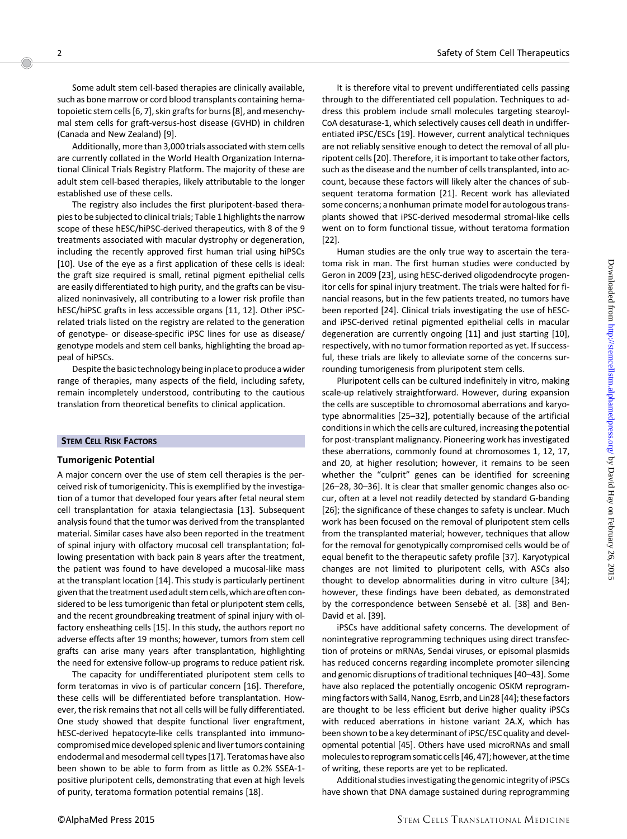Some adult stem cell-based therapies are clinically available, such as bone marrow or cord blood transplants containing hematopoietic stem cells [6, 7], skin grafts for burns [8], and mesenchymal stem cells for graft-versus-host disease (GVHD) in children (Canada and New Zealand) [9].

Additionally, more than 3,000 trials associated with stem cells are currently collated in the World Health Organization International Clinical Trials Registry Platform. The majority of these are adult stem cell-based therapies, likely attributable to the longer established use of these cells.

The registry also includes the first pluripotent-based therapies to be subjected to clinical trials; Table 1 highlights the narrow scope of these hESC/hiPSC-derived therapeutics, with 8 of the 9 treatments associated with macular dystrophy or degeneration, including the recently approved first human trial using hiPSCs [10]. Use of the eye as a first application of these cells is ideal: the graft size required is small, retinal pigment epithelial cells are easily differentiated to high purity, and the grafts can be visualized noninvasively, all contributing to a lower risk profile than hESC/hiPSC grafts in less accessible organs [11, 12]. Other iPSCrelated trials listed on the registry are related to the generation of genotype- or disease-specific iPSC lines for use as disease/ genotype models and stem cell banks, highlighting the broad appeal of hiPSCs.

Despite the basic technology being in place to produce a wider range of therapies, many aspects of the field, including safety, remain incompletely understood, contributing to the cautious translation from theoretical benefits to clinical application.

# STEM CELL RISK FACTORS

#### Tumorigenic Potential

A major concern over the use of stem cell therapies is the perceived risk of tumorigenicity. This is exemplified by the investigation of a tumor that developed four years after fetal neural stem cell transplantation for ataxia telangiectasia [13]. Subsequent analysis found that the tumor was derived from the transplanted material. Similar cases have also been reported in the treatment of spinal injury with olfactory mucosal cell transplantation; following presentation with back pain 8 years after the treatment, the patient was found to have developed a mucosal-like mass at the transplant location [14]. This study is particularly pertinent given that the treatment used adult stem cells, which are often considered to be less tumorigenic than fetal or pluripotent stem cells, and the recent groundbreaking treatment of spinal injury with olfactory ensheathing cells [15]. In this study, the authors report no adverse effects after 19 months; however, tumors from stem cell grafts can arise many years after transplantation, highlighting the need for extensive follow-up programs to reduce patient risk.

The capacity for undifferentiated pluripotent stem cells to form teratomas in vivo is of particular concern [16]. Therefore, these cells will be differentiated before transplantation. However, the risk remains that not all cells will be fully differentiated. One study showed that despite functional liver engraftment, hESC-derived hepatocyte-like cells transplanted into immunocompromised mice developed splenic and liver tumors containing endodermal and mesodermal cell types [17]. Teratomas have also been shown to be able to form from as little as 0.2% SSEA-1 positive pluripotent cells, demonstrating that even at high levels of purity, teratoma formation potential remains [18].

It is therefore vital to prevent undifferentiated cells passing through to the differentiated cell population. Techniques to address this problem include small molecules targeting stearoyl-CoA desaturase-1, which selectively causes cell death in undifferentiated iPSC/ESCs [19]. However, current analytical techniques are not reliably sensitive enough to detect the removal of all pluripotent cells [20]. Therefore, it is important to take other factors, such as the disease and the number of cells transplanted, into account, because these factors will likely alter the chances of subsequent teratoma formation [21]. Recent work has alleviated some concerns; a nonhuman primate model for autologous transplants showed that iPSC-derived mesodermal stromal-like cells went on to form functional tissue, without teratoma formation [22].

Human studies are the only true way to ascertain the teratoma risk in man. The first human studies were conducted by Geron in 2009 [23], using hESC-derived oligodendrocyte progenitor cells for spinal injury treatment. The trials were halted for financial reasons, but in the few patients treated, no tumors have been reported [24]. Clinical trials investigating the use of hESCand iPSC-derived retinal pigmented epithelial cells in macular degeneration are currently ongoing [11] and just starting [10], respectively, with no tumor formation reported as yet. If successful, these trials are likely to alleviate some of the concerns surrounding tumorigenesis from pluripotent stem cells.

Pluripotent cells can be cultured indefinitely in vitro, making scale-up relatively straightforward. However, during expansion the cells are susceptible to chromosomal aberrations and karyotype abnormalities [25–32], potentially because of the artificial conditions in which the cells are cultured, increasing the potential for post-transplant malignancy. Pioneering work has investigated these aberrations, commonly found at chromosomes 1, 12, 17, and 20, at higher resolution; however, it remains to be seen whether the "culprit" genes can be identified for screening [26–28, 30–36]. It is clear that smaller genomic changes also occur, often at a level not readily detected by standard G-banding [26]; the significance of these changes to safety is unclear. Much work has been focused on the removal of pluripotent stem cells from the transplanted material; however, techniques that allow for the removal for genotypically compromised cells would be of equal benefit to the therapeutic safety profile [37]. Karyotypical changes are not limited to pluripotent cells, with ASCs also thought to develop abnormalities during in vitro culture [34]; however, these findings have been debated, as demonstrated by the correspondence between Sensebé et al. [38] and Ben-David et al. [39].

iPSCs have additional safety concerns. The development of nonintegrative reprogramming techniques using direct transfection of proteins or mRNAs, Sendai viruses, or episomal plasmids has reduced concerns regarding incomplete promoter silencing and genomic disruptions of traditional techniques [40–43]. Some have also replaced the potentially oncogenic OSKM reprogramming factors with Sall4, Nanog, Esrrb, and Lin28 [44]; these factors are thought to be less efficient but derive higher quality iPSCs with reduced aberrations in histone variant 2A.X, which has been shown to be a key determinant of iPSC/ESC quality and developmental potential [45]. Others have used microRNAs and small molecules to reprogram somatic cells [46, 47]; however, at the time of writing, these reports are yet to be replicated.

Additional studies investigating the genomic integrity of iPSCs have shown that DNA damage sustained during reprogramming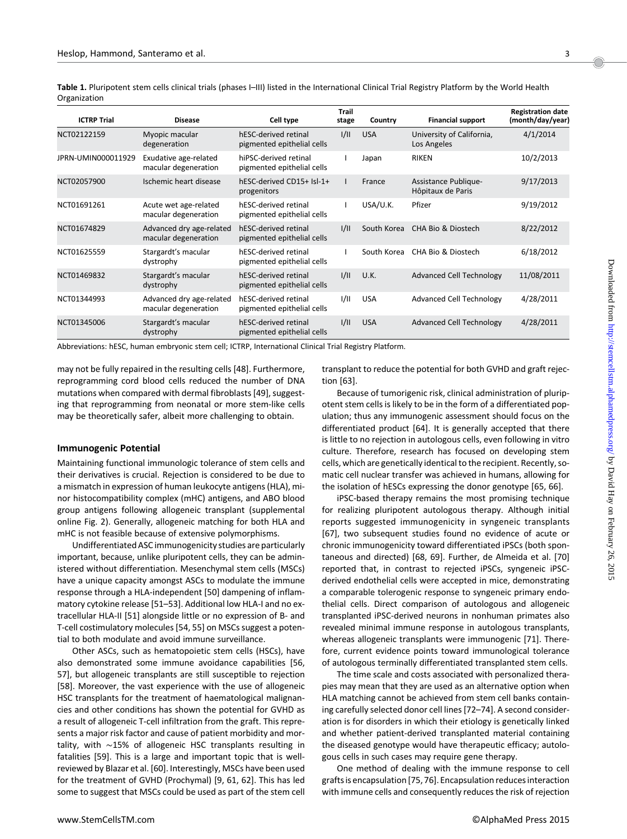Table 1. Pluripotent stem cells clinical trials (phases I–III) listed in the International Clinical Trial Registry Platform by the World Health Organization

| <b>ICTRP Trial</b> | <b>Disease</b>                                   | Cell type                                           | Trail<br>stage | Country     | <b>Financial support</b>                  | <b>Registration date</b><br>(month/day/year) |
|--------------------|--------------------------------------------------|-----------------------------------------------------|----------------|-------------|-------------------------------------------|----------------------------------------------|
| NCT02122159        | Myopic macular<br>degeneration                   | hESC-derived retinal<br>pigmented epithelial cells  | 1/11           | <b>USA</b>  | University of California,<br>Los Angeles  | 4/1/2014                                     |
| JPRN-UMIN000011929 | Exudative age-related<br>macular degeneration    | hiPSC-derived retinal<br>pigmented epithelial cells |                | Japan       | <b>RIKEN</b>                              | 10/2/2013                                    |
| NCT02057900        | Ischemic heart disease                           | hESC-derived CD15+ Isl-1+<br>progenitors            |                | France      | Assistance Publique-<br>Hôpitaux de Paris | 9/17/2013                                    |
| NCT01691261        | Acute wet age-related<br>macular degeneration    | hESC-derived retinal<br>pigmented epithelial cells  |                | USA/U.K.    | Pfizer                                    | 9/19/2012                                    |
| NCT01674829        | Advanced dry age-related<br>macular degeneration | hESC-derived retinal<br>pigmented epithelial cells  | 1/11           | South Korea | CHA Bio & Diostech                        | 8/22/2012                                    |
| NCT01625559        | Stargardt's macular<br>dystrophy                 | hESC-derived retinal<br>pigmented epithelial cells  |                | South Korea | CHA Bio & Diostech                        | 6/18/2012                                    |
| NCT01469832        | Stargardt's macular<br>dystrophy                 | hESC-derived retinal<br>pigmented epithelial cells  | 1/11           | U.K.        | Advanced Cell Technology                  | 11/08/2011                                   |
| NCT01344993        | Advanced dry age-related<br>macular degeneration | hESC-derived retinal<br>pigmented epithelial cells  | 1/11           | <b>USA</b>  | Advanced Cell Technology                  | 4/28/2011                                    |
| NCT01345006        | Stargardt's macular<br>dystrophy                 | hESC-derived retinal<br>pigmented epithelial cells  | 1/11           | <b>USA</b>  | <b>Advanced Cell Technology</b>           | 4/28/2011                                    |

Abbreviations: hESC, human embryonic stem cell; ICTRP, International Clinical Trial Registry Platform.

may not be fully repaired in the resulting cells [48]. Furthermore, reprogramming cord blood cells reduced the number of DNA mutations when compared with dermal fibroblasts [49], suggesting that reprogramming from neonatal or more stem-like cells may be theoretically safer, albeit more challenging to obtain.

#### Immunogenic Potential

Maintaining functional immunologic tolerance of stem cells and their derivatives is crucial. Rejection is considered to be due to a mismatch in expression of human leukocyte antigens (HLA), minor histocompatibility complex (mHC) antigens, and ABO blood group antigens following allogeneic transplant [\(supplemental](http://stemcellstm.alphamedpress.org/lookup/suppl/doi:10.5966/sctm.2014-0110/-/DC1) [online Fig. 2](http://stemcellstm.alphamedpress.org/lookup/suppl/doi:10.5966/sctm.2014-0110/-/DC1)). Generally, allogeneic matching for both HLA and mHC is not feasible because of extensive polymorphisms.

Undifferentiated ASC immunogenicity studies are particularly important, because, unlike pluripotent cells, they can be administered without differentiation. Mesenchymal stem cells (MSCs) have a unique capacity amongst ASCs to modulate the immune response through a HLA-independent [50] dampening of inflammatory cytokine release [51–53]. Additional low HLA-I and no extracellular HLA-II [51] alongside little or no expression of B- and T-cell costimulatory molecules [54, 55] on MSCs suggest a potential to both modulate and avoid immune surveillance.

Other ASCs, such as hematopoietic stem cells (HSCs), have also demonstrated some immune avoidance capabilities [56, 57], but allogeneic transplants are still susceptible to rejection [58]. Moreover, the vast experience with the use of allogeneic HSC transplants for the treatment of haematological malignancies and other conditions has shown the potential for GVHD as a result of allogeneic T-cell infiltration from the graft. This represents a major risk factor and cause of patient morbidity and mortality, with ∼15% of allogeneic HSC transplants resulting in fatalities [59]. This is a large and important topic that is wellreviewed by Blazar et al. [60]. Interestingly, MSCs have been used for the treatment of GVHD (Prochymal) [9, 61, 62]. This has led some to suggest that MSCs could be used as part of the stem cell transplant to reduce the potential for both GVHD and graft rejection [63].

Because of tumorigenic risk, clinical administration of pluripotent stem cells is likely to be in the form of a differentiated population; thus any immunogenic assessment should focus on the differentiated product [64]. It is generally accepted that there is little to no rejection in autologous cells, even following in vitro culture. Therefore, research has focused on developing stem cells, which are genetically identical to the recipient. Recently, somatic cell nuclear transfer was achieved in humans, allowing for the isolation of hESCs expressing the donor genotype [65, 66].

iPSC-based therapy remains the most promising technique for realizing pluripotent autologous therapy. Although initial reports suggested immunogenicity in syngeneic transplants [67], two subsequent studies found no evidence of acute or chronic immunogenicity toward differentiated iPSCs (both spontaneous and directed) [68, 69]. Further, de Almeida et al. [70] reported that, in contrast to rejected iPSCs, syngeneic iPSCderived endothelial cells were accepted in mice, demonstrating a comparable tolerogenic response to syngeneic primary endothelial cells. Direct comparison of autologous and allogeneic transplanted iPSC-derived neurons in nonhuman primates also revealed minimal immune response in autologous transplants, whereas allogeneic transplants were immunogenic [71]. Therefore, current evidence points toward immunological tolerance of autologous terminally differentiated transplanted stem cells.

The time scale and costs associated with personalized therapies may mean that they are used as an alternative option when HLA matching cannot be achieved from stem cell banks containing carefully selected donor cell lines [72–74]. A second consideration is for disorders in which their etiology is genetically linked and whether patient-derived transplanted material containing the diseased genotype would have therapeutic efficacy; autologous cells in such cases may require gene therapy.

One method of dealing with the immune response to cell grafts is encapsulation [75, 76]. Encapsulation reduces interaction with immune cells and consequently reduces the risk of rejection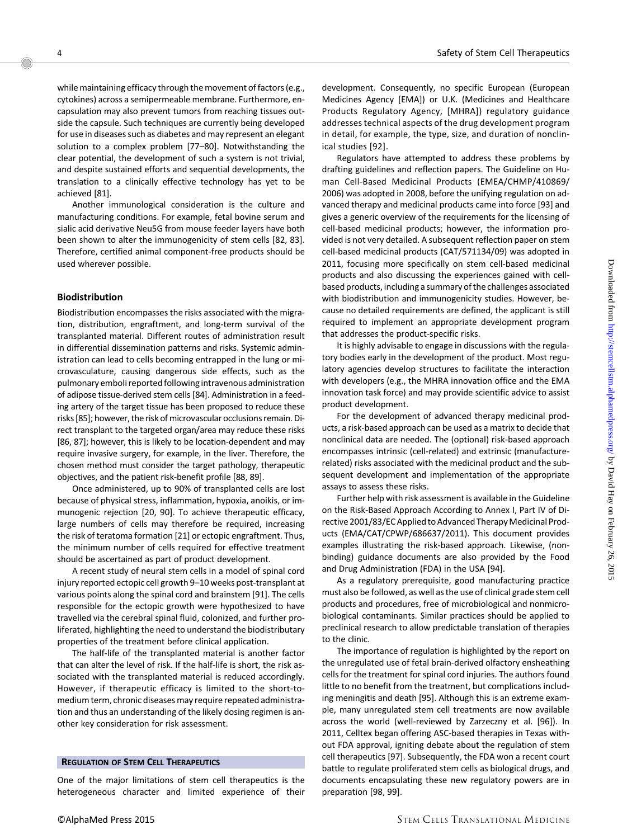while maintaining efficacy through the movement of factors (e.g., cytokines) across a semipermeable membrane. Furthermore, encapsulation may also prevent tumors from reaching tissues outside the capsule. Such techniques are currently being developed for use in diseases such as diabetes and may represent an elegant solution to a complex problem [77–80]. Notwithstanding the clear potential, the development of such a system is not trivial, and despite sustained efforts and sequential developments, the translation to a clinically effective technology has yet to be achieved [81].

Another immunological consideration is the culture and manufacturing conditions. For example, fetal bovine serum and sialic acid derivative Neu5G from mouse feeder layers have both been shown to alter the immunogenicity of stem cells [82, 83]. Therefore, certified animal component-free products should be used wherever possible.

# Biodistribution

Biodistribution encompasses the risks associated with the migration, distribution, engraftment, and long-term survival of the transplanted material. Different routes of administration result in differential dissemination patterns and risks. Systemic administration can lead to cells becoming entrapped in the lung or microvasculature, causing dangerous side effects, such as the pulmonary emboli reported following intravenous administration of adipose tissue-derived stem cells [84]. Administration in a feeding artery of the target tissue has been proposed to reduce these risks [85]; however, the risk of microvascular occlusions remain. Direct transplant to the targeted organ/area may reduce these risks [86, 87]; however, this is likely to be location-dependent and may require invasive surgery, for example, in the liver. Therefore, the chosen method must consider the target pathology, therapeutic objectives, and the patient risk-benefit profile [88, 89].

Once administered, up to 90% of transplanted cells are lost because of physical stress, inflammation, hypoxia, anoikis, or immunogenic rejection [20, 90]. To achieve therapeutic efficacy, large numbers of cells may therefore be required, increasing the risk of teratoma formation [21] or ectopic engraftment. Thus, the minimum number of cells required for effective treatment should be ascertained as part of product development.

A recent study of neural stem cells in a model of spinal cord injury reported ectopic cell growth 9–10 weeks post-transplant at various points along the spinal cord and brainstem [91]. The cells responsible for the ectopic growth were hypothesized to have travelled via the cerebral spinal fluid, colonized, and further proliferated, highlighting the need to understand the biodistributary properties of the treatment before clinical application.

The half-life of the transplanted material is another factor that can alter the level of risk. If the half-life is short, the risk associated with the transplanted material is reduced accordingly. However, if therapeutic efficacy is limited to the short-tomedium term, chronic diseases may require repeated administration and thus an understanding of the likely dosing regimen is another key consideration for risk assessment.

## REGULATION OF STEM CELL THERAPEUTICS

One of the major limitations of stem cell therapeutics is the heterogeneous character and limited experience of their development. Consequently, no specific European (European Medicines Agency [EMA]) or U.K. (Medicines and Healthcare Products Regulatory Agency, [MHRA]) regulatory guidance addresses technical aspects of the drug development program in detail, for example, the type, size, and duration of nonclinical studies [92].

Regulators have attempted to address these problems by drafting guidelines and reflection papers. The Guideline on Human Cell-Based Medicinal Products (EMEA/CHMP/410869/ 2006) was adopted in 2008, before the unifying regulation on advanced therapy and medicinal products came into force [93] and gives a generic overview of the requirements for the licensing of cell-based medicinal products; however, the information provided is not very detailed. A subsequent reflection paper on stem cell-based medicinal products (CAT/571134/09) was adopted in 2011, focusing more specifically on stem cell-based medicinal products and also discussing the experiences gained with cellbased products, including a summary of the challenges associated with biodistribution and immunogenicity studies. However, because no detailed requirements are defined, the applicant is still required to implement an appropriate development program that addresses the product-specific risks.

It is highly advisable to engage in discussions with the regulatory bodies early in the development of the product. Most regulatory agencies develop structures to facilitate the interaction with developers (e.g., the MHRA innovation office and the EMA innovation task force) and may provide scientific advice to assist product development.

For the development of advanced therapy medicinal products, a risk-based approach can be used as a matrix to decide that nonclinical data are needed. The (optional) risk-based approach encompasses intrinsic (cell-related) and extrinsic (manufacturerelated) risks associated with the medicinal product and the subsequent development and implementation of the appropriate assays to assess these risks.

Further help with risk assessment is available in the Guideline on the Risk-Based Approach According to Annex I, Part IV of Directive 2001/83/EC Applied to Advanced Therapy Medicinal Products (EMA/CAT/CPWP/686637/2011). This document provides examples illustrating the risk-based approach. Likewise, (nonbinding) guidance documents are also provided by the Food and Drug Administration (FDA) in the USA [94].

As a regulatory prerequisite, good manufacturing practice must also be followed, as well as the use of clinical grade stem cell products and procedures, free of microbiological and nonmicrobiological contaminants. Similar practices should be applied to preclinical research to allow predictable translation of therapies to the clinic.

The importance of regulation is highlighted by the report on the unregulated use of fetal brain-derived olfactory ensheathing cells for the treatment for spinal cord injuries. The authors found little to no benefit from the treatment, but complications including meningitis and death [95]. Although this is an extreme example, many unregulated stem cell treatments are now available across the world (well-reviewed by Zarzeczny et al. [96]). In 2011, Celltex began offering ASC-based therapies in Texas without FDA approval, igniting debate about the regulation of stem cell therapeutics [97]. Subsequently, the FDA won a recent court battle to regulate proliferated stem cells as biological drugs, and documents encapsulating these new regulatory powers are in preparation [98, 99].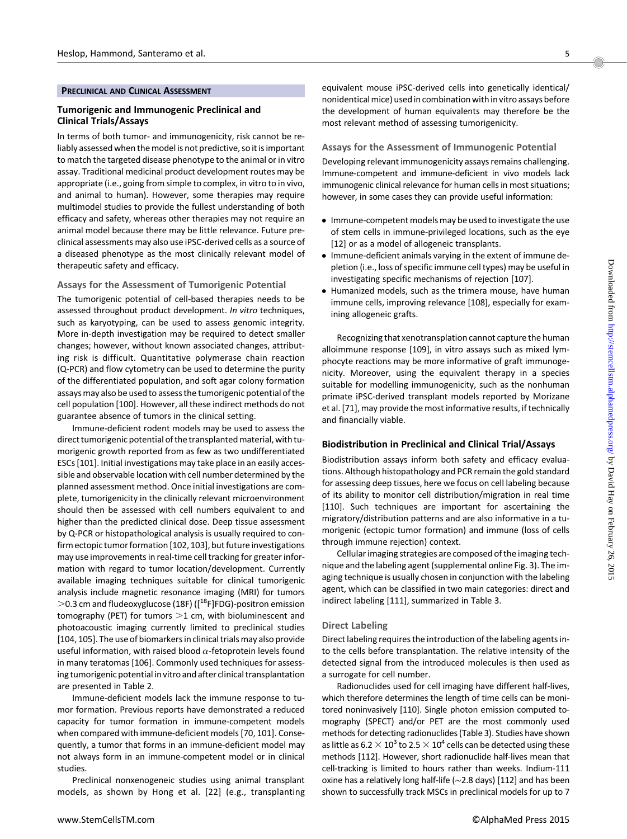## PRECLINICAL AND CLINICAL ASSESSMENT

## Tumorigenic and Immunogenic Preclinical and Clinical Trials/Assays

In terms of both tumor- and immunogenicity, risk cannot be reliably assessed when the model is not predictive, so it is important to match the targeted disease phenotype to the animal or in vitro assay. Traditional medicinal product development routes may be appropriate (i.e., going from simple to complex, in vitro to in vivo, and animal to human). However, some therapies may require multimodel studies to provide the fullest understanding of both efficacy and safety, whereas other therapies may not require an animal model because there may be little relevance. Future preclinical assessments may also use iPSC-derived cells as a source of a diseased phenotype as the most clinically relevant model of therapeutic safety and efficacy.

Assays for the Assessment of Tumorigenic Potential

The tumorigenic potential of cell-based therapies needs to be assessed throughout product development. In vitro techniques, such as karyotyping, can be used to assess genomic integrity. More in-depth investigation may be required to detect smaller changes; however, without known associated changes, attributing risk is difficult. Quantitative polymerase chain reaction (Q-PCR) and flow cytometry can be used to determine the purity of the differentiated population, and soft agar colony formation assays may also be used to assess the tumorigenic potential of the cell population [100]. However, all these indirect methods do not guarantee absence of tumors in the clinical setting.

Immune-deficient rodent models may be used to assess the direct tumorigenic potential of the transplanted material, with tumorigenic growth reported from as few as two undifferentiated ESCs [101]. Initial investigations may take place in an easily accessible and observable location with cell number determined by the planned assessment method. Once initial investigations are complete, tumorigenicity in the clinically relevant microenvironment should then be assessed with cell numbers equivalent to and higher than the predicted clinical dose. Deep tissue assessment by Q-PCR or histopathological analysis is usually required to confirm ectopic tumor formation [102, 103], but future investigations may use improvements in real-time cell tracking for greater information with regard to tumor location/development. Currently available imaging techniques suitable for clinical tumorigenic analysis include magnetic resonance imaging (MRI) for tumors  $>$ 0.3 cm and fludeoxyglucose (18F) ([<sup>18</sup>F]FDG)-positron emission tomography (PET) for tumors  $>1$  cm, with bioluminescent and photoacoustic imaging currently limited to preclinical studies [104, 105]. The use of biomarkers in clinical trials may also provide useful information, with raised blood  $\alpha$ -fetoprotein levels found in many teratomas [106]. Commonly used techniques for assessing tumorigenic potential in vitro and after clinical transplantation are presented in Table 2.

Immune-deficient models lack the immune response to tumor formation. Previous reports have demonstrated a reduced capacity for tumor formation in immune-competent models when compared with immune-deficient models [70, 101]. Consequently, a tumor that forms in an immune-deficient model may not always form in an immune-competent model or in clinical studies.

Preclinical nonxenogeneic studies using animal transplant models, as shown by Hong et al. [22] (e.g., transplanting equivalent mouse iPSC-derived cells into genetically identical/ nonidentical mice) used in combination with in vitro assays before the development of human equivalents may therefore be the most relevant method of assessing tumorigenicity.

#### Assays for the Assessment of Immunogenic Potential

Developing relevant immunogenicity assays remains challenging. Immune-competent and immune-deficient in vivo models lack immunogenic clinical relevance for human cells in most situations; however, in some cases they can provide useful information:

- Immune-competent models may be used to investigate the use of stem cells in immune-privileged locations, such as the eye [12] or as a model of allogeneic transplants.
- Immune-deficient animals varying in the extent of immune depletion (i.e., loss of specific immune cell types) may be useful in investigating specific mechanisms of rejection [107].
- Humanized models, such as the trimera mouse, have human immune cells, improving relevance [108], especially for examining allogeneic grafts.

Recognizing that xenotransplation cannot capture the human alloimmune response [109], in vitro assays such as mixed lymphocyte reactions may be more informative of graft immunogenicity. Moreover, using the equivalent therapy in a species suitable for modelling immunogenicity, such as the nonhuman primate iPSC-derived transplant models reported by Morizane et al. [71], may provide the most informative results, if technically and financially viable.

## Biodistribution in Preclinical and Clinical Trial/Assays

Biodistribution assays inform both safety and efficacy evaluations. Although histopathology and PCR remain the gold standard for assessing deep tissues, here we focus on cell labeling because of its ability to monitor cell distribution/migration in real time [110]. Such techniques are important for ascertaining the migratory/distribution patterns and are also informative in a tumorigenic (ectopic tumor formation) and immune (loss of cells through immune rejection) context.

Cellular imaging strategies are composed of the imaging technique and the labeling agent [\(supplemental online Fig. 3\)](http://stemcellstm.alphamedpress.org/lookup/suppl/doi:10.5966/sctm.2014-0110/-/DC1). The imaging technique is usually chosen in conjunction with the labeling agent, which can be classified in two main categories: direct and indirect labeling [111], summarized in Table 3.

## Direct Labeling

Direct labeling requires the introduction of the labeling agents into the cells before transplantation. The relative intensity of the detected signal from the introduced molecules is then used as a surrogate for cell number.

Radionuclides used for cell imaging have different half-lives, which therefore determines the length of time cells can be monitored noninvasively [110]. Single photon emission computed tomography (SPECT) and/or PET are the most commonly used methods for detecting radionuclides (Table 3). Studies have shown as little as 6.2  $\times$  10<sup>3</sup> to 2.5  $\times$  10<sup>4</sup> cells can be detected using these methods [112]. However, short radionuclide half-lives mean that cell-tracking is limited to hours rather than weeks. Indium-111 oxine has a relatively long half-life (∼2.8 days) [112] and has been shown to successfully track MSCs in preclinical models for up to 7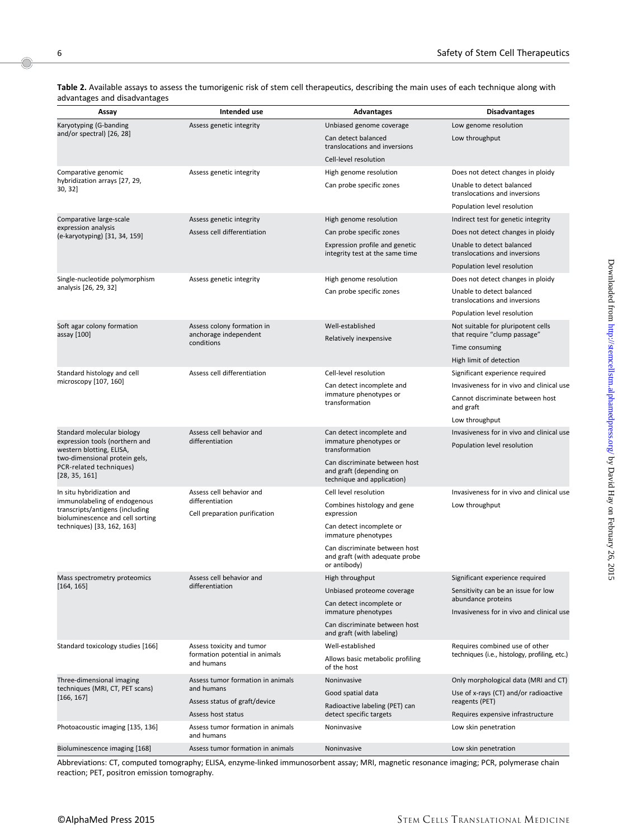| Table 2. Available assays to assess the tumorigenic risk of stem cell therapeutics, describing the main uses of each technique along with |  |  |
|-------------------------------------------------------------------------------------------------------------------------------------------|--|--|
| advantages and disadvantages                                                                                                              |  |  |

| Assay                                                                     | Intended use                                        | <b>Advantages</b>                                                                      | <b>Disadvantages</b>                                               |
|---------------------------------------------------------------------------|-----------------------------------------------------|----------------------------------------------------------------------------------------|--------------------------------------------------------------------|
| Karyotyping (G-banding                                                    | Assess genetic integrity                            | Unbiased genome coverage                                                               | Low genome resolution                                              |
| and/or spectral) [26, 28]                                                 |                                                     | Can detect balanced<br>translocations and inversions                                   | Low throughput                                                     |
|                                                                           |                                                     | Cell-level resolution                                                                  |                                                                    |
| Comparative genomic                                                       | Assess genetic integrity                            | High genome resolution                                                                 | Does not detect changes in ploidy                                  |
| hybridization arrays [27, 29,<br>30, 32]                                  |                                                     | Can probe specific zones                                                               | Unable to detect balanced<br>translocations and inversions         |
|                                                                           |                                                     |                                                                                        | Population level resolution                                        |
| Comparative large-scale                                                   | Assess genetic integrity                            | High genome resolution                                                                 | Indirect test for genetic integrity                                |
| expression analysis<br>(e-karyotyping) [31, 34, 159]                      | Assess cell differentiation                         | Can probe specific zones                                                               | Does not detect changes in ploidy                                  |
|                                                                           |                                                     | Expression profile and genetic<br>integrity test at the same time                      | Unable to detect balanced<br>translocations and inversions         |
|                                                                           |                                                     |                                                                                        | Population level resolution                                        |
| Single-nucleotide polymorphism                                            | Assess genetic integrity                            | High genome resolution                                                                 | Does not detect changes in ploidy                                  |
| analysis [26, 29, 32]                                                     |                                                     | Can probe specific zones                                                               | Unable to detect balanced<br>translocations and inversions         |
|                                                                           |                                                     |                                                                                        | Population level resolution                                        |
| Soft agar colony formation<br>assay [100]                                 | Assess colony formation in<br>anchorage independent | Well-established<br>Relatively inexpensive                                             | Not suitable for pluripotent cells<br>that require "clump passage" |
|                                                                           | conditions                                          |                                                                                        | Time consuming                                                     |
|                                                                           |                                                     |                                                                                        | High limit of detection                                            |
| Standard histology and cell                                               | Assess cell differentiation                         | Cell-level resolution                                                                  | Significant experience required                                    |
| microscopy [107, 160]                                                     |                                                     | Can detect incomplete and                                                              | Invasiveness for in vivo and clinical use                          |
|                                                                           |                                                     | immature phenotypes or<br>transformation                                               | Cannot discriminate between host<br>and graft                      |
|                                                                           |                                                     |                                                                                        | Low throughput                                                     |
| Standard molecular biology<br>expression tools (northern and              | Assess cell behavior and<br>differentiation         | Can detect incomplete and                                                              | Invasiveness for in vivo and clinical use                          |
| western blotting, ELISA,                                                  |                                                     | immature phenotypes or<br>transformation                                               | Population level resolution                                        |
| two-dimensional protein gels,<br>PCR-related techniques)<br>[28, 35, 161] |                                                     | Can discriminate between host<br>and graft (depending on<br>technique and application) |                                                                    |
| In situ hybridization and                                                 | Assess cell behavior and                            | Cell level resolution                                                                  | Invasiveness for in vivo and clinical use                          |
| immunolabeling of endogenous<br>transcripts/antigens (including           | differentiation<br>Cell preparation purification    | Combines histology and gene<br>expression                                              | Low throughput                                                     |
| bioluminescence and cell sorting<br>techniques) [33, 162, 163]            |                                                     | Can detect incomplete or<br>immature phenotypes                                        |                                                                    |
|                                                                           |                                                     | Can discriminate between host<br>and graft (with adequate probe<br>or antibody)        |                                                                    |
| Mass spectrometry proteomics                                              | Assess cell behavior and                            | High throughput                                                                        | Significant experience required                                    |
| [164, 165]                                                                | differentiation                                     | Unbiased proteome coverage                                                             | Sensitivity can be an issue for low                                |
|                                                                           |                                                     | Can detect incomplete or<br>immature phenotypes                                        | abundance proteins<br>Invasiveness for in vivo and clinical use    |
|                                                                           |                                                     | Can discriminate between host<br>and graft (with labeling)                             |                                                                    |
| Standard toxicology studies [166]                                         | Assess toxicity and tumor                           | Well-established                                                                       | Requires combined use of other                                     |
|                                                                           | formation potential in animals<br>and humans        | Allows basic metabolic profiling<br>of the host                                        | techniques (i.e., histology, profiling, etc.)                      |
| Three-dimensional imaging                                                 | Assess tumor formation in animals                   | Noninvasive                                                                            | Only morphological data (MRI and CT)                               |
| techniques (MRI, CT, PET scans)<br>[166, 167]                             | and humans                                          | Good spatial data                                                                      | Use of x-rays (CT) and/or radioactive                              |
|                                                                           | Assess status of graft/device                       | Radioactive labeling (PET) can                                                         | reagents (PET)                                                     |
|                                                                           | Assess host status                                  | detect specific targets                                                                | Requires expensive infrastructure                                  |
| Photoacoustic imaging [135, 136]                                          | Assess tumor formation in animals<br>and humans     | Noninvasive                                                                            | Low skin penetration                                               |
| Bioluminescence imaging [168]                                             | Assess tumor formation in animals                   | Noninvasive                                                                            | Low skin penetration                                               |

Abbreviations: CT, computed tomography; ELISA, enzyme-linked immunosorbent assay; MRI, magnetic resonance imaging; PCR, polymerase chain reaction; PET, positron emission tomography.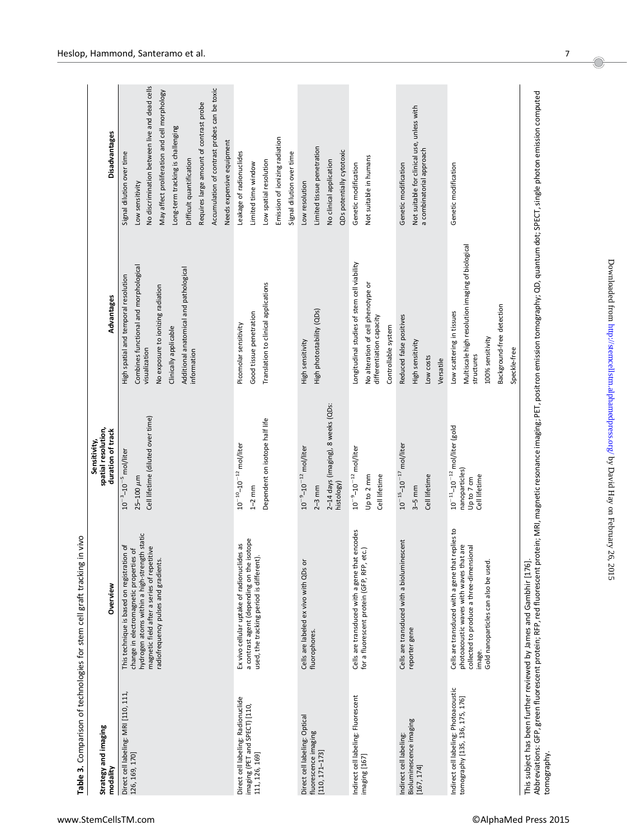| Table 3. Comparison of technologies for stem cell graft trackin                       | g in vivo                                                                                                                                                                                                                    |                                                                                                |                                                                                                                                                                                                                       |                                                                                                                                                                                                                                                                                                                                        |
|---------------------------------------------------------------------------------------|------------------------------------------------------------------------------------------------------------------------------------------------------------------------------------------------------------------------------|------------------------------------------------------------------------------------------------|-----------------------------------------------------------------------------------------------------------------------------------------------------------------------------------------------------------------------|----------------------------------------------------------------------------------------------------------------------------------------------------------------------------------------------------------------------------------------------------------------------------------------------------------------------------------------|
| Strategy and imaging<br>modality                                                      | Overview                                                                                                                                                                                                                     | spatial resolution,<br>duration of track<br>Sensitivity,                                       | Advantages                                                                                                                                                                                                            | <b>Disadvantages</b>                                                                                                                                                                                                                                                                                                                   |
| Direct cell labeling: MRI [110, 111,<br>126, 169, 170]                                | hydrogen atoms within a high-strength static<br>This technique is based on registration of<br>magnetic field after a series of repetitive<br>change in electromagnetic properties of<br>radiofrequency pulses and gradients. | Cell lifetime (diluted over time)<br>$10^{-3}$ -10 <sup>-5</sup> mol/liter<br>25-100 $\mu$ m   | Combines functional and morphological<br>Additional anatomical and pathological<br>High spatial and temporal resolution<br>No exposure to ionizing radiation<br>Clinically applicable<br>visualization<br>information | No discrimination between live and dead cells<br>Accumulation of contrast probes can be toxic<br>May affect proliferation and cell morphology<br>Requires large amount of contrast probe<br>Long-term tracking is challenging<br>Needs expensive equipment<br>Signal dilution over time<br>Difficult quantification<br>Low sensitivity |
| Direct cell labeling: Radionuclide<br>imaging (PET and SPECT) [110,<br>111, 126, 169] | a contrast agent (depending on the isotope<br>Ex vivo cellular uptake of radionuclides as<br>used, the tracking period is different).                                                                                        | Dependent on isotope half life<br>$10^{-10} - 10^{-12}$ mol/liter<br>$1-2$ mm                  | Translation to clinical applications<br>Good tissue penetration<br>Picomolar sensitivity                                                                                                                              | Emission of ionizing radiation<br>Leakage of radionuclides<br>Signal dilution over time<br>Low spatial resolution<br>Limited time window                                                                                                                                                                                               |
| Direct cell labeling: Optical<br>fluorescence imaging<br>$[110, 171 - 173]$           | ŏ<br>Cells are labeled ex vivo with QDs<br>fluorophores.                                                                                                                                                                     | 2-14 days (imaging), 8 weeks (QDs:<br>$10^{-9} - 10^{-12}$ mol/liter<br>histology)<br>$2-3$ mm | High photostability (QDs)<br>High sensitivity                                                                                                                                                                         | Limited tissue penetration<br>QDs potentially cytotoxic<br>No clinical application<br>Low resolution                                                                                                                                                                                                                                   |
| Indirect cell labeling: Fluorescent<br>imaging [167]                                  | Cells are transduced with a gene that encodes<br>for a fluorescent protein (GFP, RFP, etc.)                                                                                                                                  | $10^{-9} - 10^{-12}$ mol/liter<br>Cell lifetime<br>Up to 2 mm                                  | Longitudinal studies of stem cell viability<br>No alteration of cell phenotype or<br>differentiation capacity<br>Controllable system                                                                                  | Not suitable in humans<br>Genetic modification                                                                                                                                                                                                                                                                                         |
| Bioluminescence imaging<br>Indirect cell labeling:<br>[167, 174]                      | Cells are transduced with a bioluminescent<br>reporter gene                                                                                                                                                                  | $10^{-15}$ - $10^{-17}$ mol/liter<br>Cell lifetime<br>$3-5$ mm                                 | Reduced false positives<br>High sensitivity<br>Low costs<br>Versatile                                                                                                                                                 | Not suitable for clinical use, unless with<br>a combinatorial approach<br>Genetic modification                                                                                                                                                                                                                                         |
| Indirect cell labeling: Photoacoustic<br>tomography [135, 136, 175, 176]              | Cells are transduced with a gene that replies to<br>photoacoustic waves with waves that are<br>collected to produce a three-dimensional<br>Gold nanoparticles can also be used.<br>image.                                    | $10^{-11} - 10^{-12}$ mol/liter (gold<br>nanoparticles)<br>Cell lifetime<br>Up to 7 cm         | Multiscale high resolution imaging of biological<br>Background-free detection<br>Low scattering in tissues<br>100% sensitivity<br>Speckle-free<br>structures                                                          | Genetic modification                                                                                                                                                                                                                                                                                                                   |
| This subject has been further reviewed by James and Gambhir [17                       | ಥ                                                                                                                                                                                                                            |                                                                                                |                                                                                                                                                                                                                       |                                                                                                                                                                                                                                                                                                                                        |

Abbreviations: GFP, green fluorescent protein; RFP, red fluorescent protein; MRI, magnetic resonance imaging; PET, positron emission tomography; QD, quantum dot; SPECT, single photon emission computed<br>tomography. Abbreviations: GFP, green fluorescent protein; RFP, red fluorescent protein; MRI, magnetic resonance imaging; PET, positron emission tomography; QD, quantum dot; SPECT, single photon emission computed tomography.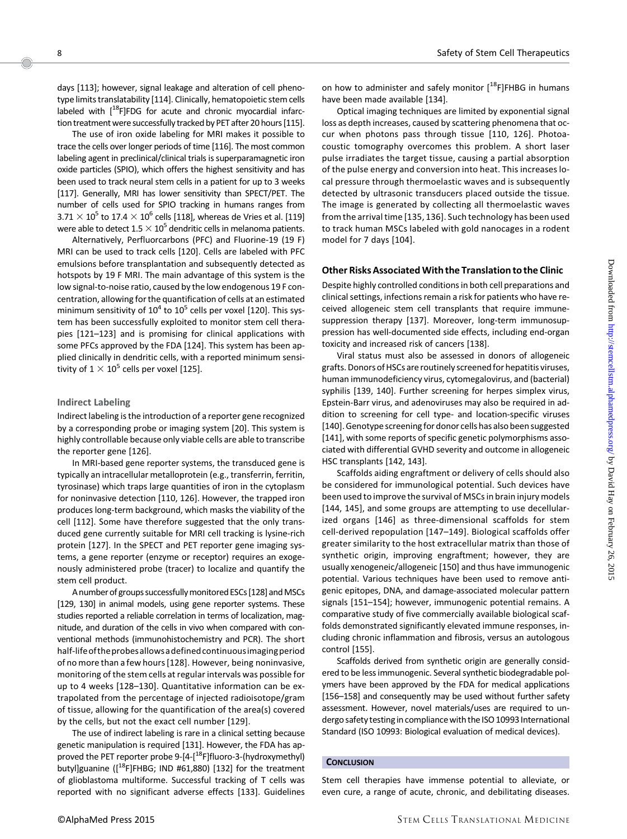days [113]; however, signal leakage and alteration of cell phenotype limits translatability [114]. Clinically, hematopoietic stem cells labeled with  $[$ <sup>18</sup>F]FDG for acute and chronic myocardial infarction treatment were successfully tracked by PET after 20 hours [115].

The use of iron oxide labeling for MRI makes it possible to trace the cells over longer periods of time [116]. The most common labeling agent in preclinical/clinical trials is superparamagnetic iron oxide particles (SPIO), which offers the highest sensitivity and has been used to track neural stem cells in a patient for up to 3 weeks [117]. Generally, MRI has lower sensitivity than SPECT/PET. The number of cells used for SPIO tracking in humans ranges from  $3.71 \times 10^5$  to 17.4  $\times$  10<sup>6</sup> cells [118], whereas de Vries et al. [119] were able to detect  $1.5 \times 10^5$  dendritic cells in melanoma patients.

Alternatively, Perfluorcarbons (PFC) and Fluorine-19 (19 F) MRI can be used to track cells [120]. Cells are labeled with PFC emulsions before transplantation and subsequently detected as hotspots by 19 F MRI. The main advantage of this system is the low signal-to-noise ratio, caused by the low endogenous 19 F concentration, allowing for the quantification of cells at an estimated minimum sensitivity of  $10^4$  to  $10^5$  cells per voxel [120]. This system has been successfully exploited to monitor stem cell therapies [121–123] and is promising for clinical applications with some PFCs approved by the FDA [124]. This system has been applied clinically in dendritic cells, with a reported minimum sensitivity of  $1 \times 10^5$  cells per voxel [125].

## Indirect Labeling

Indirect labeling is the introduction of a reporter gene recognized by a corresponding probe or imaging system [20]. This system is highly controllable because only viable cells are able to transcribe the reporter gene [126].

In MRI-based gene reporter systems, the transduced gene is typically an intracellular metalloprotein (e.g., transferrin, ferritin, tyrosinase) which traps large quantities of iron in the cytoplasm for noninvasive detection [110, 126]. However, the trapped iron produces long-term background, which masks the viability of the cell [112]. Some have therefore suggested that the only transduced gene currently suitable for MRI cell tracking is lysine-rich protein [127]. In the SPECT and PET reporter gene imaging systems, a gene reporter (enzyme or receptor) requires an exogenously administered probe (tracer) to localize and quantify the stem cell product.

A number of groups successfully monitored ESCs [128] and MSCs [129, 130] in animal models, using gene reporter systems. These studies reported a reliable correlation in terms of localization, magnitude, and duration of the cells in vivo when compared with conventional methods (immunohistochemistry and PCR). The short half-lifeof theprobesallowsadefinedcontinuousimagingperiod of no more than a few hours [128]. However, being noninvasive, monitoring of the stem cells at regular intervals was possible for up to 4 weeks [128–130]. Quantitative information can be extrapolated from the percentage of injected radioisotope/gram of tissue, allowing for the quantification of the area(s) covered by the cells, but not the exact cell number [129].

The use of indirect labeling is rare in a clinical setting because genetic manipulation is required [131]. However, the FDA has approved the PET reporter probe 9-[4-[18F]fluoro-3-(hydroxymethyl) butyl]guanine  $(I^{18}F]$ FHBG; IND #61,880) [132] for the treatment of glioblastoma multiforme. Successful tracking of T cells was reported with no significant adverse effects [133]. Guidelines on how to administer and safely monitor  $[$ <sup>18</sup>F]FHBG in humans have been made available [134].

Optical imaging techniques are limited by exponential signal loss as depth increases, caused by scattering phenomena that occur when photons pass through tissue [110, 126]. Photoacoustic tomography overcomes this problem. A short laser pulse irradiates the target tissue, causing a partial absorption of the pulse energy and conversion into heat. This increases local pressure through thermoelastic waves and is subsequently detected by ultrasonic transducers placed outside the tissue. The image is generated by collecting all thermoelastic waves from the arrival time [135, 136]. Such technology has been used to track human MSCs labeled with gold nanocages in a rodent model for 7 days [104].

#### Other Risks AssociatedWith the Translation to the Clinic

Despite highly controlled conditions in both cell preparations and clinical settings, infections remain a risk for patients who have received allogeneic stem cell transplants that require immunesuppression therapy [137]. Moreover, long-term immunosuppression has well-documented side effects, including end-organ toxicity and increased risk of cancers [138].

Viral status must also be assessed in donors of allogeneic grafts. Donors of HSCs are routinely screened for hepatitis viruses, human immunodeficiency virus, cytomegalovirus, and (bacterial) syphilis [139, 140]. Further screening for herpes simplex virus, Epstein-Barr virus, and adenoviruses may also be required in addition to screening for cell type- and location-specific viruses [140]. Genotype screening for donor cells has also been suggested [141], with some reports of specific genetic polymorphisms associated with differential GVHD severity and outcome in allogeneic HSC transplants [142, 143].

Scaffolds aiding engraftment or delivery of cells should also be considered for immunological potential. Such devices have been used to improve the survival of MSCs in brain injury models [144, 145], and some groups are attempting to use decellularized organs [146] as three-dimensional scaffolds for stem cell-derived repopulation [147–149]. Biological scaffolds offer greater similarity to the host extracellular matrix than those of synthetic origin, improving engraftment; however, they are usually xenogeneic/allogeneic [150] and thus have immunogenic potential. Various techniques have been used to remove antigenic epitopes, DNA, and damage-associated molecular pattern signals [151–154]; however, immunogenic potential remains. A comparative study of five commercially available biological scaffolds demonstrated significantly elevated immune responses, including chronic inflammation and fibrosis, versus an autologous control [155].

Scaffolds derived from synthetic origin are generally considered to be less immunogenic. Several synthetic biodegradable polymers have been approved by the FDA for medical applications [156–158] and consequently may be used without further safety assessment. However, novel materials/uses are required to undergo safety testing in compliance with the ISO 10993 International Standard (ISO 10993: Biological evaluation of medical devices).

#### **CONCLUSION**

Stem cell therapies have immense potential to alleviate, or even cure, a range of acute, chronic, and debilitating diseases.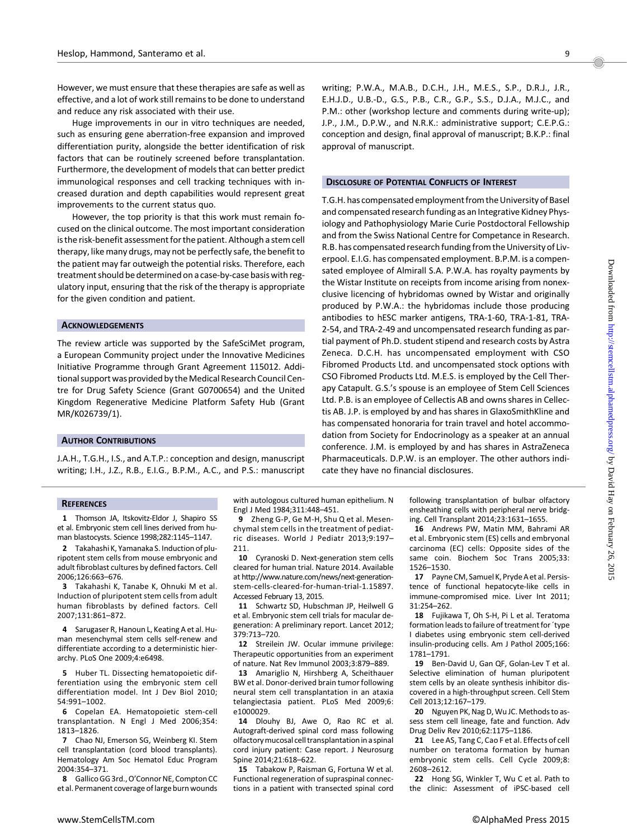However, we must ensure that these therapies are safe as well as effective, and a lot of work still remains to be done to understand and reduce any risk associated with their use.

Huge improvements in our in vitro techniques are needed, such as ensuring gene aberration-free expansion and improved differentiation purity, alongside the better identification of risk factors that can be routinely screened before transplantation. Furthermore, the development of models that can better predict immunological responses and cell tracking techniques with increased duration and depth capabilities would represent great improvements to the current status quo.

However, the top priority is that this work must remain focused on the clinical outcome. The most important consideration is the risk-benefit assessment for the patient. Although a stem cell therapy, like many drugs, may not be perfectly safe, the benefit to the patient may far outweigh the potential risks. Therefore, each treatment should be determined on a case-by-case basis with regulatory input, ensuring that the risk of the therapy is appropriate for the given condition and patient.

## **ACKNOWLEDGEMENTS**

The review article was supported by the SafeSciMet program, a European Community project under the Innovative Medicines Initiative Programme through Grant Agreement 115012. Additional support was provided by the Medical Research Council Centre for Drug Safety Science (Grant G0700654) and the United Kingdom Regenerative Medicine Platform Safety Hub (Grant MR/K026739/1).

#### AUTHOR CONTRIBUTIONS

J.A.H., T.G.H., I.S., and A.T.P.: conception and design, manuscript writing; I.H., J.Z., R.B., E.I.G., B.P.M., A.C., and P.S.: manuscript

#### **REFERENCES**

1 Thomson JA, Itskovitz-Eldor J, Shapiro SS et al. Embryonic stem cell lines derived from human blastocysts. Science 1998;282:1145–1147.

2 Takahashi K, Yamanaka S. Induction of pluripotent stem cells from mouse embryonic and adult fibroblast cultures by defined factors. Cell 2006;126:663–676.

Takahashi K, Tanabe K, Ohnuki M et al. Induction of pluripotent stem cells from adult human fibroblasts by defined factors. Cell 2007;131:861–872.

4 Sarugaser R, Hanoun L, Keating A et al. Human mesenchymal stem cells self-renew and differentiate according to a deterministic hierarchy. PLoS One 2009;4:e6498.

5 Huber TL. Dissecting hematopoietic differentiation using the embryonic stem cell differentiation model. Int J Dev Biol 2010; 54:991–1002.

6 Copelan EA. Hematopoietic stem-cell transplantation. N Engl J Med 2006;354: 1813–1826.

7 Chao NJ, Emerson SG, Weinberg KI. Stem cell transplantation (cord blood transplants). Hematology Am Soc Hematol Educ Program 2004:354–371.

8 Gallico GG 3rd., O'Connor NE, Compton CC et al. Permanent coverage of large burn wounds with autologous cultured human epithelium. N Engl J Med 1984;311:448–451.

9 Zheng G-P, Ge M-H, Shu Q et al. Mesenchymal stem cells in the treatment of pediatric diseases. World J Pediatr 2013;9:197– 211.

10 Cyranoski D. Next-generation stem cells cleared for human trial. Nature 2014. Available at [http://www.nature.com/news/next-generation](http://www.nature.com/news/next-generation-stem-cells-cleared-for-human-trial-1.15897)[stem-cells-cleared-for-human-trial-1.15897](http://www.nature.com/news/next-generation-stem-cells-cleared-for-human-trial-1.15897). Accessed February 13, 2015.

11 Schwartz SD, Hubschman JP, Heilwell G et al. Embryonic stem cell trials for macular degeneration: A preliminary report. Lancet 2012; 379:713–720.

12 Streilein JW. Ocular immune privilege: Therapeutic opportunities from an experiment of nature. Nat Rev Immunol 2003;3:879–889.

13 Amariglio N, Hirshberg A, Scheithauer BW et al. Donor-derived brain tumor following neural stem cell transplantation in an ataxia telangiectasia patient. PLoS Med 2009;6: e1000029.

14 Dlouhy BJ, Awe O, Rao RC et al. Autograft-derived spinal cord mass following olfactorymucosal cell transplantation in a spinal cord injury patient: Case report. J Neurosurg Spine 2014;21:618–622.

15 Tabakow P, Raisman G, Fortuna W et al. Functional regeneration of supraspinal connections in a patient with transected spinal cord

writing; P.W.A., M.A.B., D.C.H., J.H., M.E.S., S.P., D.R.J., J.R., E.H.J.D., U.B.-D., G.S., P.B., C.R., G.P., S.S., D.J.A., M.J.C., and P.M.: other (workshop lecture and comments during write-up); J.P., J.M., D.P.W., and N.R.K.: administrative support; C.E.P.G.: conception and design, final approval of manuscript; B.K.P.: final approval of manuscript.

## **DISCLOSURE OF POTENTIAL CONFLICTS OF INTEREST**

T.G.H. has compensated employment from the University of Basel and compensated research funding as an Integrative Kidney Physiology and Pathophysiology Marie Curie Postdoctoral Fellowship and from the Swiss National Centre for Competance in Research. R.B. has compensated research funding from the University of Liverpool. E.I.G. has compensated employment. B.P.M. is a compensated employee of Almirall S.A. P.W.A. has royalty payments by the Wistar Institute on receipts from income arising from nonexclusive licencing of hybridomas owned by Wistar and originally produced by P.W.A.: the hybridomas include those producing antibodies to hESC marker antigens, TRA-1-60, TRA-1-81, TRA-2-54, and TRA-2-49 and uncompensated research funding as partial payment of Ph.D. student stipend and research costs by Astra Zeneca. D.C.H. has uncompensated employment with CSO Fibromed Products Ltd. and uncompensated stock options with CSO Fibromed Products Ltd. M.E.S. is employed by the Cell Therapy Catapult. G.S.'s spouse is an employee of Stem Cell Sciences Ltd. P.B. is an employee of Cellectis AB and owns shares in Cellectis AB. J.P. is employed by and has shares in GlaxoSmithKline and has compensated honoraria for train travel and hotel accommodation from Society for Endocrinology as a speaker at an annual conference. J.M. is employed by and has shares in AstraZeneca Pharmaceuticals. D.P.W. is an employer. The other authors indicate they have no financial disclosures.

Downloaded from http://stemcellstm.alphamedpress.org/ by David Hay on February 26, 2015 Downloaded from <http://stemcellstm.alphamedpress.org/> by David Hay on February 26, 2015

following transplantation of bulbar olfactory ensheathing cells with peripheral nerve bridging. Cell Transplant 2014;23:1631–1655.

16 Andrews PW, Matin MM, Bahrami AR et al. Embryonic stem (ES) cells and embryonal carcinoma (EC) cells: Opposite sides of the same coin. Biochem Soc Trans 2005;33: 1526–1530.

17 Payne CM, Samuel K, Pryde A et al. Persistence of functional hepatocyte-like cells in immune-compromised mice. Liver Int 2011; 31:254–262.

18 Fujikawa T, Oh S-H, Pi L et al. Teratoma formation leads to failure of treatment for ´type I diabetes using embryonic stem cell-derived insulin-producing cells. Am J Pathol 2005;166: 1781–1791.

19 Ben-David U, Gan QF, Golan-Lev T et al. Selective elimination of human pluripotent stem cells by an oleate synthesis inhibitor discovered in a high-throughput screen. Cell Stem Cell 2013;12:167–179.

20 Nguyen PK, Nag D, Wu JC. Methods to assess stem cell lineage, fate and function. Adv Drug Deliv Rev 2010;62:1175–1186.

21 Lee AS, Tang C, Cao F et al. Effects of cell number on teratoma formation by human embryonic stem cells. Cell Cycle 2009;8: 2608–2612.

22 Hong SG, Winkler T, Wu C et al. Path to the clinic: Assessment of iPSC-based cell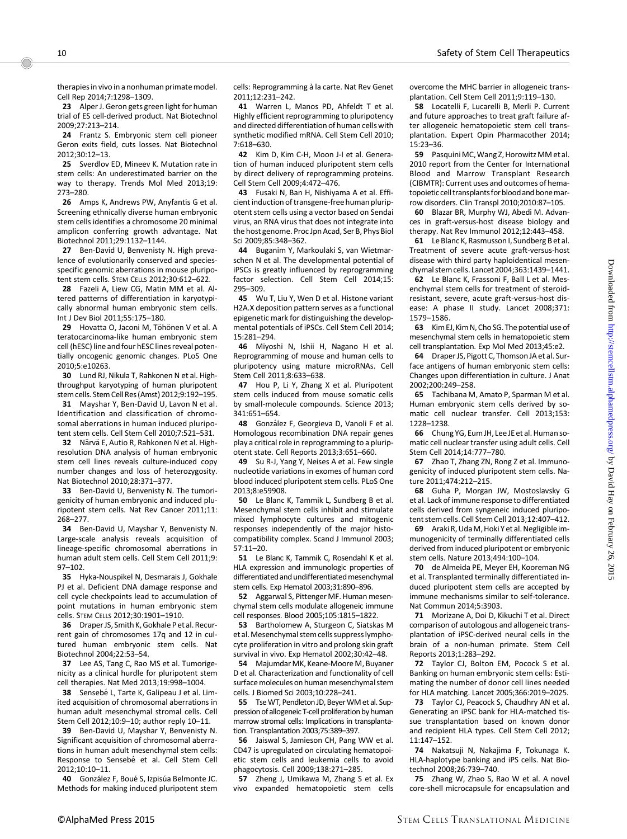therapies in vivo in a nonhuman primate model. Cell Rep 2014;7:1298–1309.

23 Alper J. Geron gets green light for human trial of ES cell-derived product. Nat Biotechnol 2009;27:213–214.

24 Frantz S. Embryonic stem cell pioneer Geron exits field, cuts losses. Nat Biotechnol 2012;30:12–13.

25 Sverdlov ED, Mineev K. Mutation rate in stem cells: An underestimated barrier on the way to therapy. Trends Mol Med 2013;19: 273–280.

26 Amps K, Andrews PW, Anyfantis G et al. Screening ethnically diverse human embryonic stem cells identifies a chromosome 20 minimal amplicon conferring growth advantage. Nat Biotechnol 2011;29:1132–1144.

27 Ben-David U, Benvenisty N. High prevalence of evolutionarily conserved and speciesspecific genomic aberrations in mouse pluripotent stem cells. STEM CELLS 2012;30:612–622.

28 Fazeli A, Liew CG, Matin MM et al. Altered patterns of differentiation in karyotypically abnormal human embryonic stem cells. Int J Dev Biol 2011;55:175–180.

29 Hovatta O, Jaconi M, Töhönen V et al. A teratocarcinoma-like human embryonic stem cell (hESC) line and four hESC lines reveal potentially oncogenic genomic changes. PLoS One 2010;5:e10263.

30 Lund RJ, Nikula T, Rahkonen N et al. Highthroughput karyotyping of human pluripotent stem cells. Stem Cell Res (Amst) 2012;9:192–195.

31 Mayshar Y, Ben-David U, Lavon N et al. Identification and classification of chromosomal aberrations in human induced pluripotent stem cells. Cell Stem Cell 2010;7:521–531.

32 Närvä E, Autio R, Rahkonen N et al. Highresolution DNA analysis of human embryonic stem cell lines reveals culture-induced copy number changes and loss of heterozygosity. Nat Biotechnol 2010;28:371–377.

33 Ben-David U, Benvenisty N. The tumorigenicity of human embryonic and induced pluripotent stem cells. Nat Rev Cancer 2011;11: 268–277.

34 Ben-David U, Mayshar Y, Benvenisty N. Large-scale analysis reveals acquisition of lineage-specific chromosomal aberrations in human adult stem cells. Cell Stem Cell 2011;9: 97–102.

35 Hyka-Nouspikel N, Desmarais J, Gokhale PJ et al. Deficient DNA damage response and cell cycle checkpoints lead to accumulation of point mutations in human embryonic stem cells. STEM CELLS 2012;30:1901–1910.

36 Draper JS, Smith K, Gokhale P et al. Recurrent gain of chromosomes 17q and 12 in cultured human embryonic stem cells. Nat Biotechnol 2004;22:53–54.

37 Lee AS, Tang C, Rao MS et al. Tumorigenicity as a clinical hurdle for pluripotent stem cell therapies. Nat Med 2013;19:998–1004.

38 Sensebé L, Tarte K, Galipeau J et al. Limited acquisition of chromosomal aberrations in human adult mesenchymal stromal cells. Cell Stem Cell 2012;10:9–10; author reply 10–11.

39 Ben-David U, Mayshar Y, Benvenisty N. Significant acquisition of chromosomal aberrations in human adult mesenchymal stem cells: Response to Sensebé et al. Cell Stem Cell 2012;10:10–11.

40 González F, Boué S, Izpisúa Belmonte JC. Methods for making induced pluripotent stem cells: Reprogramming à la carte. Nat Rev Genet 2011;12:231–242.

41 Warren L, Manos PD, Ahfeldt T et al. Highly efficient reprogramming to pluripotency and directed differentiation of human cells with synthetic modified mRNA. Cell Stem Cell 2010; 7:618–630.

42 Kim D, Kim C-H, Moon J-I et al. Generation of human induced pluripotent stem cells by direct delivery of reprogramming proteins. Cell Stem Cell 2009;4:472–476.

43 Fusaki N, Ban H, Nishiyama A et al. Efficient induction of transgene-free human pluripotent stem cells using a vector based on Sendai virus, an RNA virus that does not integrate into the host genome. Proc Jpn Acad, Ser B, Phys Biol Sci 2009;85:348–362.

44 Buganim Y, Markoulaki S, van Wietmarschen N et al. The developmental potential of iPSCs is greatly influenced by reprogramming factor selection. Cell Stem Cell 2014;15: 295–309.

45 Wu T, Liu Y, Wen D et al. Histone variant H2A.X deposition pattern serves as a functional epigenetic mark for distinguishing the developmental potentials of iPSCs. Cell Stem Cell 2014; 15:281–294.

46 Miyoshi N, Ishii H, Nagano H et al. Reprogramming of mouse and human cells to pluripotency using mature microRNAs. Cell Stem Cell 2011;8:633–638.

47 Hou P, Li Y, Zhang X et al. Pluripotent stem cells induced from mouse somatic cells by small-molecule compounds. Science 2013; 341:651–654.

48 González F, Georgieva D, Vanoli F et al. Homologous recombination DNA repair genes play a critical role in reprogramming to a pluripotent state. Cell Reports 2013;3:651–660.

49 Su R-J, Yang Y, Neises A et al. Few single nucleotide variations in exomes of human cord blood induced pluripotent stem cells. PLoS One 2013;8:e59908.

50 Le Blanc K, Tammik L, Sundberg B et al. Mesenchymal stem cells inhibit and stimulate mixed lymphocyte cultures and mitogenic responses independently of the major histocompatibility complex. Scand J Immunol 2003; 57:11–20.

51 Le Blanc K, Tammik C, Rosendahl K et al. HLA expression and immunologic properties of differentiated and undifferentiatedmesenchymal stem cells. Exp Hematol 2003;31:890–896.

52 Aggarwal S, Pittenger MF. Human mesenchymal stem cells modulate allogeneic immune cell responses. Blood 2005;105:1815–1822.

53 Bartholomew A, Sturgeon C, Siatskas M et al.Mesenchymal stem cells suppress lymphocyte proliferation in vitro and prolong skin graft survival in vivo. Exp Hematol 2002;30:42–48.

54 Majumdar MK, Keane-Moore M, Buyaner D et al. Characterization and functionality of cell surface molecules on human mesenchymal stem cells. J Biomed Sci 2003;10:228–241.

55 Tse WT, Pendleton JD, Beyer WM et al. Suppression of allogeneic T-cell proliferation by human marrow stromal cells: Implications in transplantation. Transplantation 2003;75:389–397.

56 Jaiswal S, Jamieson CH, Pang WW et al. CD47 is upregulated on circulating hematopoietic stem cells and leukemia cells to avoid phagocytosis. Cell 2009;138:271–285.

57 Zheng J, Umikawa M, Zhang S et al. Ex vivo expanded hematopoietic stem cells overcome the MHC barrier in allogeneic transplantation. Cell Stem Cell 2011;9:119–130.

58 Locatelli F, Lucarelli B, Merli P. Current and future approaches to treat graft failure after allogeneic hematopoietic stem cell transplantation. Expert Opin Pharmacother 2014; 15:23–36.

59 Pasquini MC, Wang Z, Horowitz MM et al. 2010 report from the Center for International Blood and Marrow Transplant Research (CIBMTR): Current uses and outcomes of hematopoietic cell transplants for bloodand bonemarrow disorders. Clin Transpl 2010;2010:87–105.

60 Blazar BR, Murphy WJ, Abedi M. Advances in graft-versus-host disease biology and therapy. Nat Rev Immunol 2012;12:443–458.

61 Le Blanc K, Rasmusson I, Sundberg B et al. Treatment of severe acute graft-versus-host disease with third party haploidentical mesenchymal stem cells. Lancet 2004;363:1439–1441.

62 Le Blanc K, Frassoni F, Ball L et al. Mesenchymal stem cells for treatment of steroidresistant, severe, acute graft-versus-host disease: A phase II study. Lancet 2008;371: 1579–1586.

63 Kim EJ, KimN, Cho SG. The potential use of mesenchymal stem cells in hematopoietic stem cell transplantation. Exp Mol Med 2013;45:e2.

64 Draper JS, Pigott C, Thomson JA et al. Surface antigens of human embryonic stem cells: Changes upon differentiation in culture. J Anat 2002;200:249–258.

65 Tachibana M, Amato P, Sparman M et al. Human embryonic stem cells derived by somatic cell nuclear transfer. Cell 2013;153: 1228–1238.

66 Chung YG, Eum JH, Lee JE et al. Human somatic cell nuclear transfer using adult cells. Cell Stem Cell 2014;14:777–780.

67 Zhao T, Zhang ZN, Rong Z et al. Immunogenicity of induced pluripotent stem cells. Nature 2011;474:212–215.

68 Guha P, Morgan JW, Mostoslavsky G et al. Lack of immune response to differentiated cells derived from syngeneic induced pluripotent stem cells. Cell Stem Cell 2013;12:407–412.

69 Araki R,UdaM, Hoki Y et al. Negligible immunogenicity of terminally differentiated cells derived from induced pluripotent or embryonic stem cells. Nature 2013;494:100–104.

70 de Almeida PE, Meyer EH, Kooreman NG et al. Transplanted terminally differentiated induced pluripotent stem cells are accepted by immune mechanisms similar to self-tolerance. Nat Commun 2014;5:3903.

71 Morizane A, Doi D, Kikuchi T et al. Direct comparison of autologous and allogeneic transplantation of iPSC-derived neural cells in the brain of a non-human primate. Stem Cell Reports 2013;1:283–292.

72 Taylor CJ, Bolton EM, Pocock S et al. Banking on human embryonic stem cells: Estimating the number of donor cell lines needed for HLA matching. Lancet 2005;366:2019–2025.

73 Taylor CJ, Peacock S, Chaudhry AN et al. Generating an iPSC bank for HLA-matched tissue transplantation based on known donor and recipient HLA types. Cell Stem Cell 2012; 11:147–152.

74 Nakatsuji N, Nakajima F, Tokunaga K. HLA-haplotype banking and iPS cells. Nat Biotechnol 2008;26:739–740.

75 Zhang W, Zhao S, Rao W et al. A novel core-shell microcapsule for encapsulation and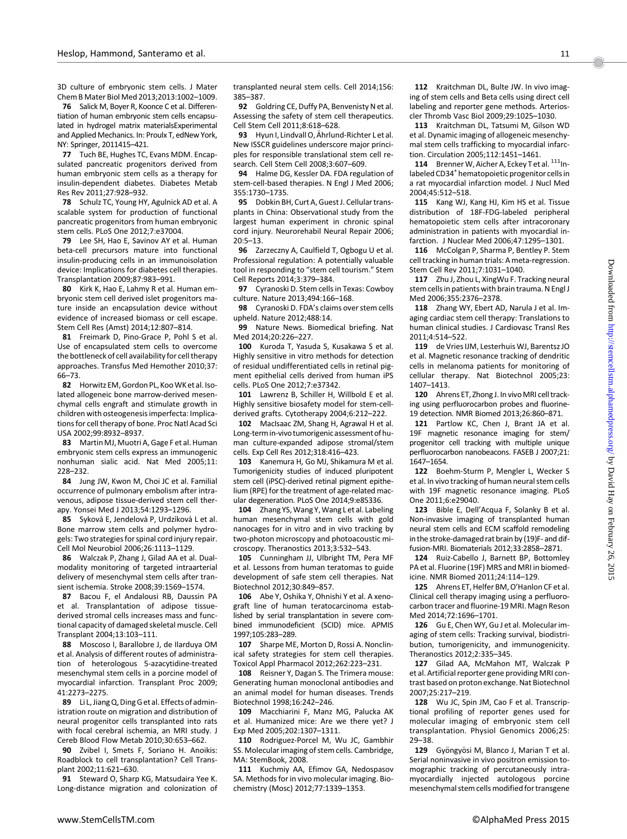3D culture of embryonic stem cells. J Mater Chem B Mater Biol Med 2013;2013:1002–1009.

76 Salick M, Boyer R, Koonce C et al. Differentiation of human embryonic stem cells encapsulated in hydrogel matrix materialsExperimental and Applied Mechanics. In: Proulx T, edNew York, NY: Springer, 2011415–421.

77 Tuch BE, Hughes TC, Evans MDM. Encapsulated pancreatic progenitors derived from human embryonic stem cells as a therapy for insulin-dependent diabetes. Diabetes Metab Res Rev 2011;27:928–932.

78 Schulz TC, Young HY, Agulnick AD et al. A scalable system for production of functional pancreatic progenitors from human embryonic stem cells. PLoS One 2012;7:e37004.

79 Lee SH, Hao E, Savinov AY et al. Human beta-cell precursors mature into functional insulin-producing cells in an immunoisolation device: Implications for diabetes cell therapies. Transplantation 2009;87:983–991.

80 Kirk K, Hao E, Lahmy R et al. Human embryonic stem cell derived islet progenitors mature inside an encapsulation device without evidence of increased biomass or cell escape. Stem Cell Res (Amst) 2014;12:807–814.

81 Freimark D, Pino-Grace P, Pohl S et al. Use of encapsulated stem cells to overcome the bottleneck of cell availability for cell therapy approaches. Transfus Med Hemother 2010;37: 66–73.

82 Horwitz EM, Gordon PL, KooWK et al. Isolated allogeneic bone marrow-derived mesenchymal cells engraft and stimulate growth in children with osteogenesis imperfecta: Implications for cell therapy of bone. Proc Natl Acad Sci USA 2002;99:8932–8937.

83 Martin MJ, Muotri A, Gage F et al. Human embryonic stem cells express an immunogenic nonhuman sialic acid. Nat Med 2005;11: 228–232.

84 Jung JW, Kwon M, Choi JC et al. Familial occurrence of pulmonary embolism after intravenous, adipose tissue-derived stem cell therapy. Yonsei Med J 2013;54:1293–1296.

85 Syková E, Jendelová P, Urdzíková L et al. Bone marrow stem cells and polymer hydrogels: Two strategies for spinal cord injury repair. Cell Mol Neurobiol 2006;26:1113–1129.

86 Walczak P, Zhang J, Gilad AA et al. Dualmodality monitoring of targeted intraarterial delivery of mesenchymal stem cells after transient ischemia. Stroke 2008;39:1569–1574.

87 Bacou F, el Andalousi RB, Daussin PA et al. Transplantation of adipose tissuederived stromal cells increases mass and functional capacity of damaged skeletal muscle. Cell Transplant 2004;13:103–111.

88 Moscoso I, Barallobre J, de Ilarduya OM et al. Analysis of different routes of administration of heterologous 5-azacytidine-treated mesenchymal stem cells in a porcine model of myocardial infarction. Transplant Proc 2009; 41:2273–2275.

89 Li L, JiangQ, Ding G et al. Effects of administration route on migration and distribution of neural progenitor cells transplanted into rats with focal cerebral ischemia, an MRI study. J Cereb Blood Flow Metab 2010;30:653–662.

90 Zvibel I, Smets F, Soriano H. Anoikis: Roadblock to cell transplantation? Cell Transplant 2002;11:621–630.

91 Steward O, Sharp KG, Matsudaira Yee K. Long-distance migration and colonization of transplanted neural stem cells. Cell 2014;156: 385–387.

92 Goldring CE, Duffy PA, Benvenisty N et al. Assessing the safety of stem cell therapeutics. Cell Stem Cell 2011;8:618–628.

93 Hyun I, Lindvall O, Ahrlund-Richter Let al. New ISSCR guidelines underscore major principles for responsible translational stem cell research. Cell Stem Cell 2008;3:607–609.

94 Halme DG, Kessler DA. FDA regulation of stem-cell-based therapies. N Engl J Med 2006; 355:1730–1735.

95 Dobkin BH, Curt A, Guest J. Cellular transplants in China: Observational study from the largest human experiment in chronic spinal cord injury. Neurorehabil Neural Repair 2006;  $20.5 - 13$ 

96 Zarzeczny A, Caulfield T, Ogbogu U et al. Professional regulation: A potentially valuable tool in responding to "stem cell tourism." Stem Cell Reports 2014;3:379–384.

97 Cyranoski D. Stem cells in Texas: Cowboy culture. Nature 2013;494:166–168.

98 Cyranoski D. FDA's claims over stem cells upheld. Nature 2012;488:14.

99 Nature News. Biomedical briefing. Nat Med 2014;20:226–227.

100 Kuroda T, Yasuda S, Kusakawa S et al. Highly sensitive in vitro methods for detection of residual undifferentiated cells in retinal pigment epithelial cells derived from human iPS cells. PLoS One 2012;7:e37342.

101 Lawrenz B, Schiller H, Willbold E et al. Highly sensitive biosafety model for stem-cellderived grafts. Cytotherapy 2004;6:212–222.

102 MacIsaac ZM, Shang H, Agrawal H et al. Long-term in-vivo tumorigenic assessment of human culture-expanded adipose stromal/stem cells. Exp Cell Res 2012;318:416–423.

103 Kanemura H, Go MJ, Shikamura M et al. Tumorigenicity studies of induced pluripotent stem cell (iPSC)-derived retinal pigment epithelium (RPE) for the treatment of age-related macular degeneration. PLoS One 2014;9:e85336.

104 Zhang YS, Wang Y, Wang Let al. Labeling human mesenchymal stem cells with gold nanocages for in vitro and in vivo tracking by two-photon microscopy and photoacoustic microscopy. Theranostics 2013;3:532–543.

105 Cunningham JJ, Ulbright TM, Pera MF et al. Lessons from human teratomas to guide development of safe stem cell therapies. Nat Biotechnol 2012;30:849–857.

106 Abe Y, Oshika Y, Ohnishi Y et al. A xenograft line of human teratocarcinoma established by serial transplantation in severe combined immunodeficient (SCID) mice. APMIS 1997;105:283–289.

107 Sharpe ME, Morton D, Rossi A. Nonclinical safety strategies for stem cell therapies. Toxicol Appl Pharmacol 2012;262:223–231.

108 Reisner Y, Dagan S. The Trimera mouse: Generating human monoclonal antibodies and an animal model for human diseases. Trends Biotechnol 1998;16:242–246.

109 Macchiarini F, Manz MG, Palucka AK et al. Humanized mice: Are we there yet? J Exp Med 2005;202:1307–1311.

110 Rodriguez-Porcel M, Wu JC, Gambhir SS. Molecular imaging of stem cells. Cambridge, MA: StemBook, 2008.

111 Kuchmiy AA, Efimov GA, Nedospasov SA. Methods for in vivo molecular imaging. Biochemistry (Mosc) 2012;77:1339–1353.

112 Kraitchman DL, Bulte JW. In vivo imaging of stem cells and Beta cells using direct cell labeling and reporter gene methods. Arterioscler Thromb Vasc Biol 2009;29:1025–1030.

113 Kraitchman DL, Tatsumi M, Gilson WD et al. Dynamic imaging of allogeneic mesenchymal stem cells trafficking to myocardial infarction. Circulation 2005;112:1451–1461.

114 Brenner W, Aicher A, Eckey Tet al. <sup>111</sup>Inlabeled CD34<sup>+</sup> hematopoietic progenitor cells in a rat myocardial infarction model. J Nucl Med 2004;45:512–518.

115 Kang WJ, Kang HJ, Kim HS et al. Tissue distribution of 18F-FDG-labeled peripheral hematopoietic stem cells after intracoronary administration in patients with myocardial infarction. J Nuclear Med 2006;47:1295–1301.

116 McColgan P, Sharma P, Bentley P. Stem cell tracking in human trials: A meta-regression. Stem Cell Rev 2011;7:1031–1040.

117 Zhu J, Zhou L, XingWu F. Tracking neural stem cells in patients with brain trauma. N Engl J Med 2006;355:2376–2378.

118 Zhang WY, Ebert AD, Narula J et al. Imaging cardiac stem cell therapy: Translations to human clinical studies. J Cardiovasc Transl Res 2011;4:514–522.

119 de Vries IJM, Lesterhuis WJ, Barentsz JO et al. Magnetic resonance tracking of dendritic cells in melanoma patients for monitoring of cellular therapy. Nat Biotechnol 2005;23: 1407–1413.

120 Ahrens ET, Zhong J. In vivo MRI cell tracking using perfluorocarbon probes and fluorine-19 detection. NMR Biomed 2013;26:860–871.

121 Partlow KC, Chen J, Brant JA et al. 19F magnetic resonance imaging for stem/ progenitor cell tracking with multiple unique perfluorocarbon nanobeacons. FASEB J 2007;21: 1647–1654.

122 Boehm-Sturm P, Mengler L, Wecker S et al. In vivo tracking of human neural stem cells with 19F magnetic resonance imaging. PLoS One 2011;6:e29040.

123 Bible E, Dell'Acqua F, Solanky B et al. Non-invasive imaging of transplanted human neural stem cells and ECM scaffold remodeling in the stroke-damaged rat brain by (19)F- and diffusion-MRI. Biomaterials 2012;33:2858–2871.

124 Ruiz-Cabello J, Barnett BP, Bottomley PA et al. Fluorine (19F) MRS and MRI in biomedicine. NMR Biomed 2011;24:114–129.

125 Ahrens ET, Helfer BM, O'Hanlon CF et al. Clinical cell therapy imaging using a perfluorocarbon tracer and fluorine-19 MRI. Magn Reson Med 2014;72:1696–1701.

126 Gu E, Chen WY, Gu J et al. Molecular imaging of stem cells: Tracking survival, biodistribution, tumorigenicity, and immunogenicity. Theranostics 2012;2:335–345.

127 Gilad AA, McMahon MT, Walczak P et al. Artificial reporter gene providing MRI contrast based on proton exchange. Nat Biotechnol 2007;25:217–219.

128 Wu JC, Spin JM, Cao F et al. Transcriptional profiling of reporter genes used for molecular imaging of embryonic stem cell transplantation. Physiol Genomics 2006;25: 29–38.

129 Gyöngyösi M, Blanco J, Marian T et al. Serial noninvasive in vivo positron emission tomographic tracking of percutaneously intramyocardially injected autologous porcine mesenchymal stem cells modified for transgene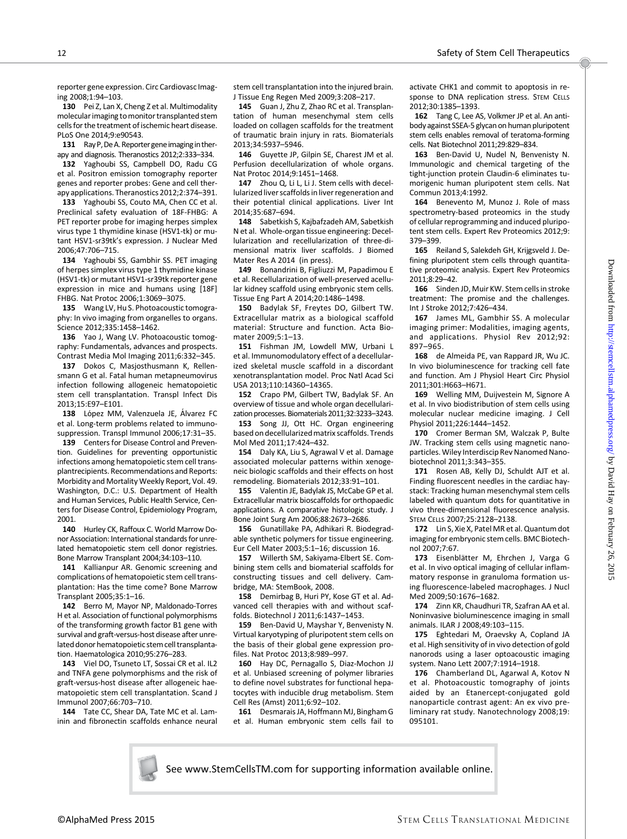reporter gene expression. Circ Cardiovasc Imaging 2008;1:94–103.

130 Pei Z, Lan X, Cheng Z et al. Multimodality molecular imaging to monitor transplanted stem cells for the treatment of ischemic heart disease. PLoS One 2014;9:e90543.

131 Ray P, De A. Reporter gene imaging in therapy and diagnosis. Theranostics 2012;2:333–334.

132 Yaghoubi SS, Campbell DO, Radu CG et al. Positron emission tomography reporter genes and reporter probes: Gene and cell therapy applications. Theranostics 2012;2:374–391.

133 Yaghoubi SS, Couto MA, Chen CC et al. Preclinical safety evaluation of 18F-FHBG: A PET reporter probe for imaging herpes simplex virus type 1 thymidine kinase (HSV1-tk) or mutant HSV1-sr39tk's expression. J Nuclear Med 2006;47:706–715.

134 Yaghoubi SS, Gambhir SS. PET imaging of herpes simplex virus type 1 thymidine kinase (HSV1-tk) or mutant HSV1-sr39tk reporter gene expression in mice and humans using [18F] FHBG. Nat Protoc 2006;1:3069–3075.

135 Wang LV, Hu S. Photoacoustic tomography: In vivo imaging from organelles to organs. Science 2012;335:1458–1462.

136 Yao J, Wang LV. Photoacoustic tomography: Fundamentals, advances and prospects. Contrast Media Mol Imaging 2011;6:332–345.

137 Dokos C, Masjosthusmann K, Rellensmann G et al. Fatal human metapneumovirus infection following allogeneic hematopoietic stem cell transplantation. Transpl Infect Dis 2013;15:E97–E101.

138 López MM, Valenzuela JE, Álvarez FC et al. Long-term problems related to immunosuppression. Transpl Immunol 2006;17:31–35.

139 Centers for Disease Control and Prevention. Guidelines for preventing opportunistic infections among hematopoietic stem cell transplantrecipients. Recommendations and Reports: Morbidity and Mortality Weekly Report, Vol. 49. Washington, D.C.: U.S. Department of Health and Human Services, Public Health Service, Centers for Disease Control, Epidemiology Program, 2001.

140 Hurley CK, Raffoux C, World Marrow Donor Association: International standards for unrelated hematopoietic stem cell donor registries. Bone Marrow Transplant 2004;34:103–110.

141 Kallianpur AR. Genomic screening and complications of hematopoietic stem cell transplantation: Has the time come? Bone Marrow Transplant 2005;35:1–16.

142 Berro M, Mayor NP, Maldonado-Torres H et al. Association of functional polymorphisms of the transforming growth factor B1 gene with survival and graft-versus-host disease after unrelated donor hematopoietic stem cell transplantation. Haematologica 2010;95:276–283.

143 Viel DO, Tsuneto LT, Sossai CR et al. IL2 and TNFA gene polymorphisms and the risk of graft-versus-host disease after allogeneic haematopoietic stem cell transplantation. Scand J Immunol 2007;66:703–710.

144 Tate CC, Shear DA, Tate MC et al. Laminin and fibronectin scaffolds enhance neural stem cell transplantation into the injured brain. J Tissue Eng Regen Med 2009;3:208–217.

145 Guan J, Zhu Z, Zhao RC et al. Transplantation of human mesenchymal stem cells loaded on collagen scaffolds for the treatment of traumatic brain injury in rats. Biomaterials 2013;34:5937–5946.

146 Guyette JP, Gilpin SE, Charest JM et al. Perfusion decellularization of whole organs. Nat Protoc 2014;9:1451–1468.

147 Zhou Q, Li L, Li J. Stem cells with decellularized liver scaffolds in liver regeneration and their potential clinical applications. Liver Int 2014;35:687–694.

148 Sabetkish S, Kajbafzadeh AM, Sabetkish N et al. Whole-organ tissue engineering: Decellularization and recellularization of three-dimensional matrix liver scaffolds. J Biomed Mater Res A 2014 (in press).

149 Bonandrini B, Figliuzzi M, Papadimou E et al. Recellularization of well-preserved acellular kidney scaffold using embryonic stem cells. Tissue Eng Part A 2014;20:1486–1498.

150 Badylak SF, Freytes DO, Gilbert TW. Extracellular matrix as a biological scaffold material: Structure and function. Acta Biomater 2009;5:1–13.

151 Fishman JM, Lowdell MW, Urbani L et al. Immunomodulatory effect of a decellularized skeletal muscle scaffold in a discordant xenotransplantation model. Proc Natl Acad Sci USA 2013;110:14360–14365.

152 Crapo PM, Gilbert TW, Badylak SF. An overview of tissue and whole organ decellularization processes. Biomaterials 2011;32:3233–3243.

153 Song JJ, Ott HC. Organ engineering based on decellularizedmatrix scaffolds. Trends Mol Med 2011;17:424–432.

154 Daly KA, Liu S, Agrawal V et al. Damage associated molecular patterns within xenogeneic biologic scaffolds and their effects on host remodeling. Biomaterials 2012;33:91–101.

155 Valentin JE, Badylak JS, McCabe GP et al. Extracellular matrix bioscaffolds for orthopaedic applications. A comparative histologic study. J Bone Joint Surg Am 2006;88:2673–2686.

156 Gunatillake PA, Adhikari R. Biodegradable synthetic polymers for tissue engineering. Eur Cell Mater 2003;5:1–16; discussion 16.

157 Willerth SM, Sakiyama-Elbert SE. Combining stem cells and biomaterial scaffolds for constructing tissues and cell delivery. Cambridge, MA: StemBook, 2008.

158 Demirbag B, Huri PY, Kose GT et al. Advanced cell therapies with and without scaffolds. Biotechnol J 2011;6:1437–1453.

159 Ben-David U, Mayshar Y, Benvenisty N. Virtual karyotyping of pluripotent stem cells on the basis of their global gene expression profiles. Nat Protoc 2013;8:989–997.

160 Hay DC, Pernagallo S, Diaz-Mochon JJ et al. Unbiased screening of polymer libraries to define novel substrates for functional hepatocytes with inducible drug metabolism. Stem Cell Res (Amst) 2011;6:92–102.

161 Desmarais JA, Hoffmann MJ, Bingham G et al. Human embryonic stem cells fail to

activate CHK1 and commit to apoptosis in response to DNA replication stress. STEM CELLS 2012;30:1385–1393.

162 Tang C, Lee AS, Volkmer JP et al. An antibody against SSEA-5 glycan on human pluripotent stem cells enables removal of teratoma-forming cells. Nat Biotechnol 2011;29:829–834.

163 Ben-David U, Nudel N, Benvenisty N. Immunologic and chemical targeting of the tight-junction protein Claudin-6 eliminates tumorigenic human pluripotent stem cells. Nat Commun 2013;4:1992.

164 Benevento M, Munoz J. Role of mass spectrometry-based proteomics in the study of cellular reprogramming and induced pluripotent stem cells. Expert Rev Proteomics 2012;9: 379–399.

165 Reiland S, Salekdeh GH, Krijgsveld J. Defining pluripotent stem cells through quantitative proteomic analysis. Expert Rev Proteomics 2011;8:29–42.

166 Sinden JD, Muir KW. Stem cells in stroke treatment: The promise and the challenges. Int J Stroke 2012;7:426–434.

167 James ML, Gambhir SS. A molecular imaging primer: Modalities, imaging agents, and applications. Physiol Rev 2012;92: 897–965.

168 de Almeida PE, van Rappard JR, Wu JC. In vivo bioluminescence for tracking cell fate and function. Am J Physiol Heart Circ Physiol 2011;301:H663–H671.

169 Welling MM, Duijvestein M, Signore A et al. In vivo biodistribution of stem cells using molecular nuclear medicine imaging. J Cell Physiol 2011;226:1444–1452.

170 Cromer Berman SM, Walczak P, Bulte JW. Tracking stem cells using magnetic nanoparticles.Wiley Interdiscip Rev Nanomed Nanobiotechnol 2011;3:343–355.

171 Rosen AB, Kelly DJ, Schuldt AJT et al. Finding fluorescent needles in the cardiac haystack: Tracking human mesenchymal stem cells labeled with quantum dots for quantitative in vivo three-dimensional fluorescence analysis. STEM CELLS 2007;25:2128–2138.

172 Lin S, Xie X, Patel MR et al. Quantum dot imaging for embryonic stem cells. BMC Biotechnol 2007;7:67.

173 Eisenblätter M, Ehrchen J, Varga G et al. In vivo optical imaging of cellular inflammatory response in granuloma formation using fluorescence-labeled macrophages. J Nucl Med 2009;50:1676–1682.

174 Zinn KR, Chaudhuri TR, Szafran AA et al. Noninvasive bioluminescence imaging in small animals. ILAR J 2008;49:103–115.

175 Eghtedari M, Oraevsky A, Copland JA et al. High sensitivity of in vivo detection of gold nanorods using a laser optoacoustic imaging system. Nano Lett 2007;7:1914–1918.

176 Chamberland DL, Agarwal A, Kotov N et al. Photoacoustic tomography of joints aided by an Etanercept-conjugated gold nanoparticle contrast agent: An ex vivo preliminary rat study. Nanotechnology 2008;19: 095101.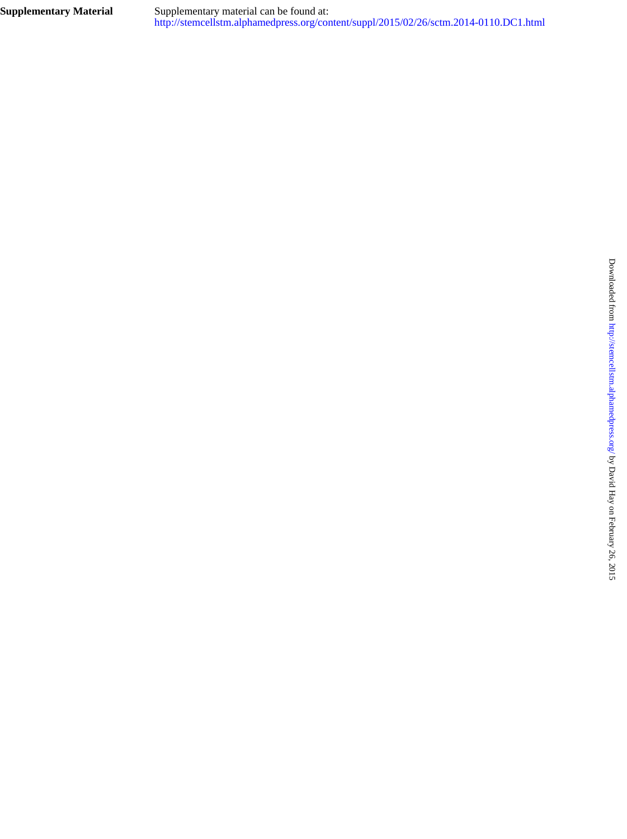<http://stemcellstm.alphamedpress.org/content/suppl/2015/02/26/sctm.2014-0110.DC1.html> Supplementary material can be found at: